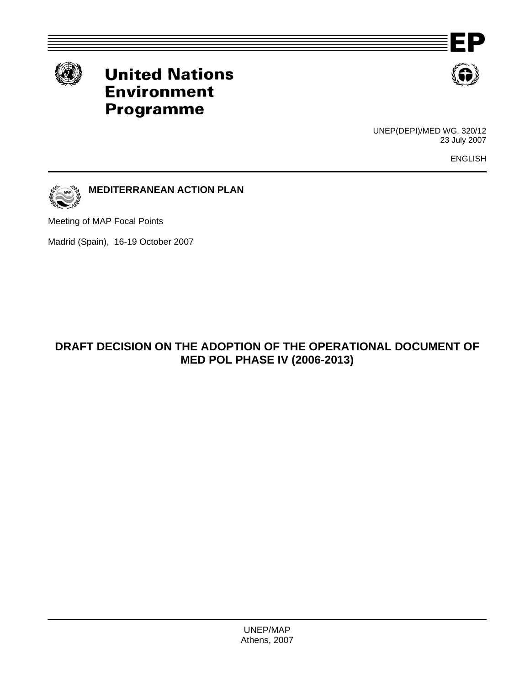

# **United Nations Environment Programme**



ΞP

UNEP(DEPI)/MED WG. 320/12 23 July 2007

ENGLISH



Meeting of MAP Focal Points

Madrid (Spain), 16-19 October 2007

# **DRAFT DECISION ON THE ADOPTION OF THE OPERATIONAL DOCUMENT OF MED POL PHASE IV (2006-2013)**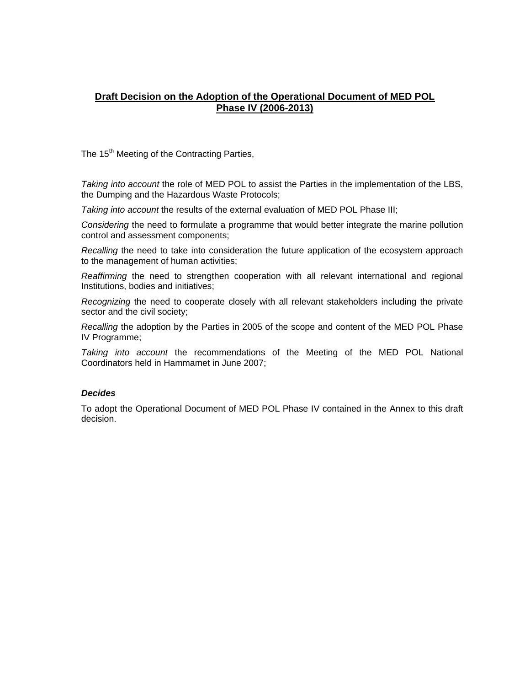#### **Draft Decision on the Adoption of the Operational Document of MED POL Phase IV (2006-2013)**

The 15<sup>th</sup> Meeting of the Contracting Parties,

*Taking into account* the role of MED POL to assist the Parties in the implementation of the LBS, the Dumping and the Hazardous Waste Protocols;

*Taking into account* the results of the external evaluation of MED POL Phase III;

*Considering* the need to formulate a programme that would better integrate the marine pollution control and assessment components;

*Recalling* the need to take into consideration the future application of the ecosystem approach to the management of human activities;

*Reaffirming* the need to strengthen cooperation with all relevant international and regional Institutions, bodies and initiatives;

*Recognizing* the need to cooperate closely with all relevant stakeholders including the private sector and the civil society;

*Recalling* the adoption by the Parties in 2005 of the scope and content of the MED POL Phase IV Programme;

*Taking into account* the recommendations of the Meeting of the MED POL National Coordinators held in Hammamet in June 2007;

#### *Decides*

To adopt the Operational Document of MED POL Phase IV contained in the Annex to this draft decision.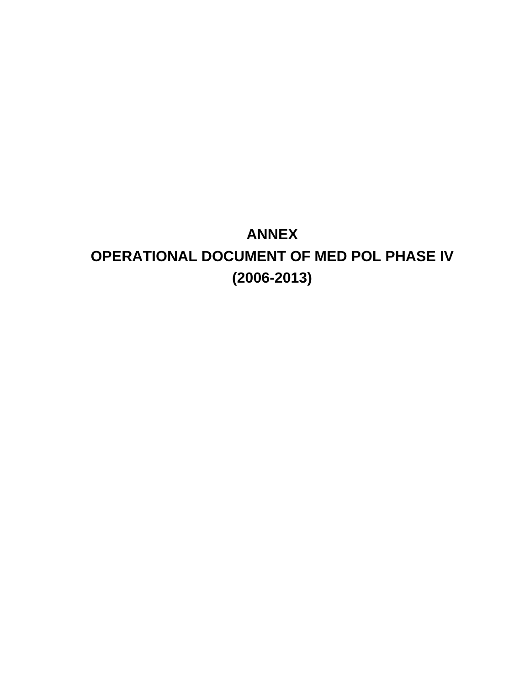# **ANNEX OPERATIONAL DOCUMENT OF MED POL PHASE IV (2006-2013)**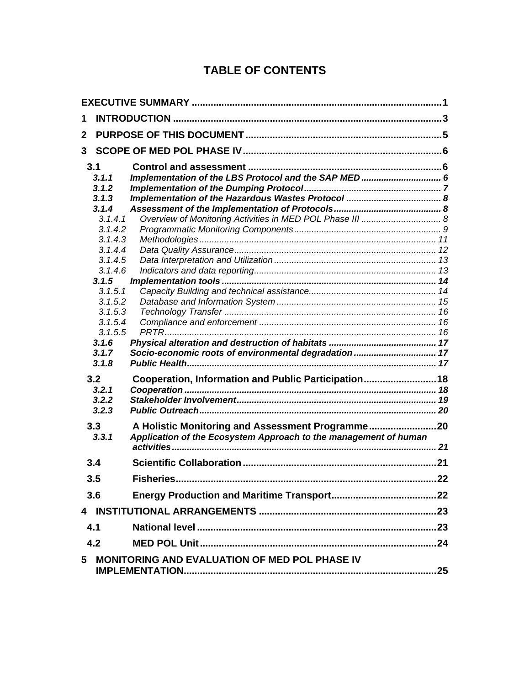# **TABLE OF CONTENTS**

| 1            |                  |                                                                  |  |
|--------------|------------------|------------------------------------------------------------------|--|
| $\mathbf{2}$ |                  |                                                                  |  |
| 3            |                  |                                                                  |  |
|              | 3.1              |                                                                  |  |
|              | 3.1.1            | Implementation of the LBS Protocol and the SAP MED 6             |  |
|              | 3.1.2            |                                                                  |  |
|              | 3.1.3            |                                                                  |  |
|              | 3.1.4            |                                                                  |  |
|              | 3.1.4.1          |                                                                  |  |
|              | 3.1.4.2          |                                                                  |  |
|              | 3.1.4.3          |                                                                  |  |
|              | 3.1.4.4          |                                                                  |  |
|              | 3.1.4.5          |                                                                  |  |
|              | 3.1.4.6<br>3.1.5 |                                                                  |  |
|              | 3.1.5.1          |                                                                  |  |
|              | 3.1.5.2          |                                                                  |  |
|              | 3.1.5.3          |                                                                  |  |
|              | 3.1.5.4          |                                                                  |  |
|              | 3.1.5.5          |                                                                  |  |
|              | 3.1.6            |                                                                  |  |
|              | 3.1.7            | Socio-economic roots of environmental degradation  17            |  |
|              | 3.1.8            |                                                                  |  |
|              | 3.2              | Cooperation, Information and Public Participation 18             |  |
|              | 3.2.1            |                                                                  |  |
|              | 3.2.2            |                                                                  |  |
|              | 3.2.3            |                                                                  |  |
|              | 3.3              | A Holistic Monitoring and Assessment Programme20                 |  |
|              | 3.3.1            | Application of the Ecosystem Approach to the management of human |  |
|              |                  |                                                                  |  |
|              | 3.4              |                                                                  |  |
|              | 3.5              |                                                                  |  |
|              | 3.6              |                                                                  |  |
|              |                  |                                                                  |  |
|              | 4.1              |                                                                  |  |
|              | 4.2              |                                                                  |  |
| 5            |                  | MONITORING AND EVALUATION OF MED POL PHASE IV                    |  |
|              |                  |                                                                  |  |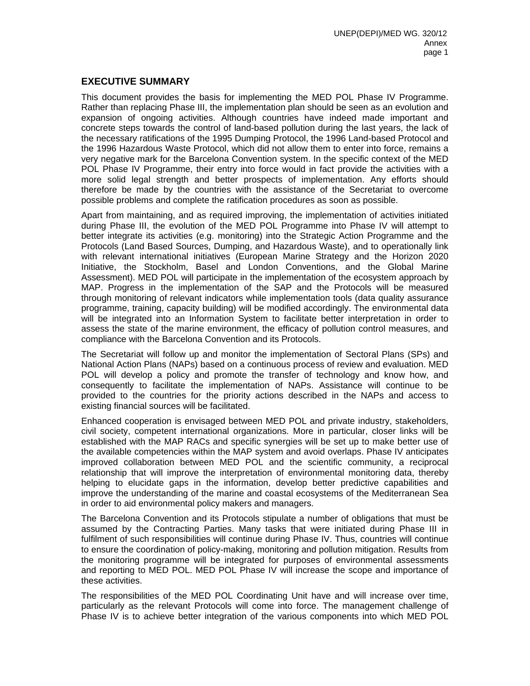#### **EXECUTIVE SUMMARY**

This document provides the basis for implementing the MED POL Phase IV Programme. Rather than replacing Phase III, the implementation plan should be seen as an evolution and expansion of ongoing activities. Although countries have indeed made important and concrete steps towards the control of land-based pollution during the last years, the lack of the necessary ratifications of the 1995 Dumping Protocol, the 1996 Land-based Protocol and the 1996 Hazardous Waste Protocol, which did not allow them to enter into force, remains a very negative mark for the Barcelona Convention system. In the specific context of the MED POL Phase IV Programme, their entry into force would in fact provide the activities with a more solid legal strength and better prospects of implementation. Any efforts should therefore be made by the countries with the assistance of the Secretariat to overcome possible problems and complete the ratification procedures as soon as possible.

Apart from maintaining, and as required improving, the implementation of activities initiated during Phase III, the evolution of the MED POL Programme into Phase IV will attempt to better integrate its activities (e.g. monitoring) into the Strategic Action Programme and the Protocols (Land Based Sources, Dumping, and Hazardous Waste), and to operationally link with relevant international initiatives (European Marine Strategy and the Horizon 2020 Initiative, the Stockholm, Basel and London Conventions, and the Global Marine Assessment). MED POL will participate in the implementation of the ecosystem approach by MAP. Progress in the implementation of the SAP and the Protocols will be measured through monitoring of relevant indicators while implementation tools (data quality assurance programme, training, capacity building) will be modified accordingly. The environmental data will be integrated into an Information System to facilitate better interpretation in order to assess the state of the marine environment, the efficacy of pollution control measures, and compliance with the Barcelona Convention and its Protocols.

The Secretariat will follow up and monitor the implementation of Sectoral Plans (SPs) and National Action Plans (NAPs) based on a continuous process of review and evaluation. MED POL will develop a policy and promote the transfer of technology and know how, and consequently to facilitate the implementation of NAPs. Assistance will continue to be provided to the countries for the priority actions described in the NAPs and access to existing financial sources will be facilitated.

Enhanced cooperation is envisaged between MED POL and private industry, stakeholders, civil society, competent international organizations. More in particular, closer links will be established with the MAP RACs and specific synergies will be set up to make better use of the available competencies within the MAP system and avoid overlaps. Phase IV anticipates improved collaboration between MED POL and the scientific community, a reciprocal relationship that will improve the interpretation of environmental monitoring data, thereby helping to elucidate gaps in the information, develop better predictive capabilities and improve the understanding of the marine and coastal ecosystems of the Mediterranean Sea in order to aid environmental policy makers and managers.

The Barcelona Convention and its Protocols stipulate a number of obligations that must be assumed by the Contracting Parties. Many tasks that were initiated during Phase III in fulfilment of such responsibilities will continue during Phase IV. Thus, countries will continue to ensure the coordination of policy-making, monitoring and pollution mitigation. Results from the monitoring programme will be integrated for purposes of environmental assessments and reporting to MED POL. MED POL Phase IV will increase the scope and importance of these activities.

The responsibilities of the MED POL Coordinating Unit have and will increase over time, particularly as the relevant Protocols will come into force. The management challenge of Phase IV is to achieve better integration of the various components into which MED POL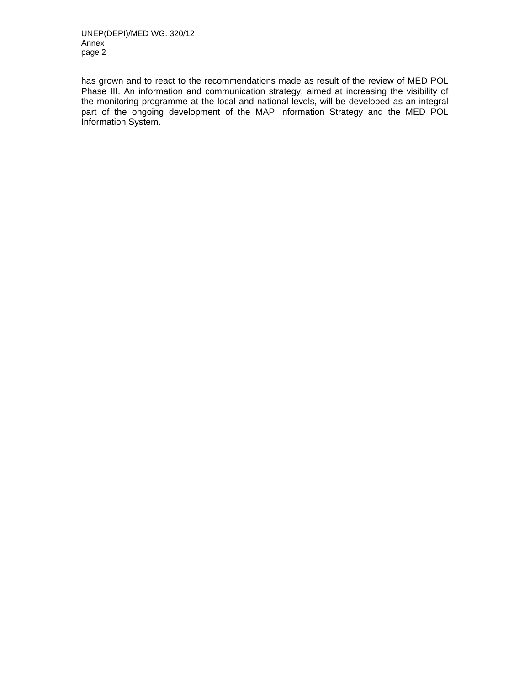has grown and to react to the recommendations made as result of the review of MED POL Phase III. An information and communication strategy, aimed at increasing the visibility of the monitoring programme at the local and national levels, will be developed as an integral part of the ongoing development of the MAP Information Strategy and the MED POL Information System.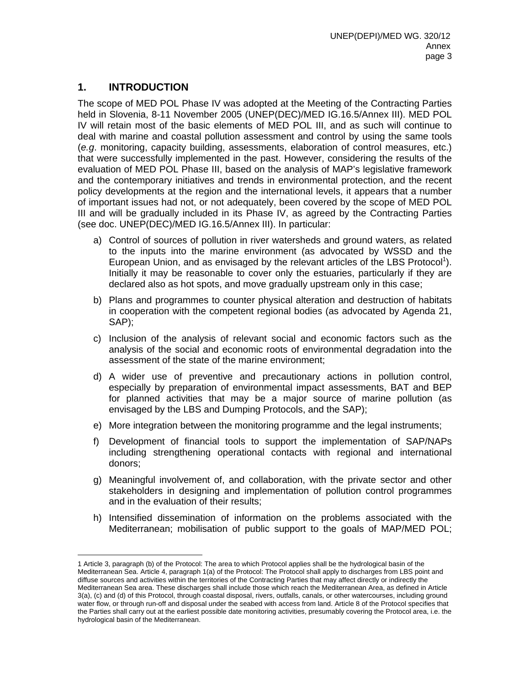## **1. INTRODUCTION**

 $\overline{a}$ 

The scope of MED POL Phase IV was adopted at the Meeting of the Contracting Parties held in Slovenia, 8-11 November 2005 (UNEP(DEC)/MED IG.16.5/Annex III). MED POL IV will retain most of the basic elements of MED POL III, and as such will continue to deal with marine and coastal pollution assessment and control by using the same tools (*e.g*. monitoring, capacity building, assessments, elaboration of control measures, etc.) that were successfully implemented in the past. However, considering the results of the evaluation of MED POL Phase III, based on the analysis of MAP's legislative framework and the contemporary initiatives and trends in environmental protection, and the recent policy developments at the region and the international levels, it appears that a number of important issues had not, or not adequately, been covered by the scope of MED POL III and will be gradually included in its Phase IV, as agreed by the Contracting Parties (see doc. UNEP(DEC)/MED IG.16.5/Annex III). In particular:

- a) Control of sources of pollution in river watersheds and ground waters, as related to the inputs into the marine environment (as advocated by WSSD and the European Union, and as envisaged by the relevant articles of the LBS Protocol<sup>1</sup>). Initially it may be reasonable to cover only the estuaries, particularly if they are declared also as hot spots, and move gradually upstream only in this case;
- b) Plans and programmes to counter physical alteration and destruction of habitats in cooperation with the competent regional bodies (as advocated by Agenda 21, SAP);
- c) Inclusion of the analysis of relevant social and economic factors such as the analysis of the social and economic roots of environmental degradation into the assessment of the state of the marine environment;
- d) A wider use of preventive and precautionary actions in pollution control, especially by preparation of environmental impact assessments, BAT and BEP for planned activities that may be a major source of marine pollution (as envisaged by the LBS and Dumping Protocols, and the SAP);
- e) More integration between the monitoring programme and the legal instruments;
- f) Development of financial tools to support the implementation of SAP/NAPs including strengthening operational contacts with regional and international donors;
- g) Meaningful involvement of, and collaboration, with the private sector and other stakeholders in designing and implementation of pollution control programmes and in the evaluation of their results;
- h) Intensified dissemination of information on the problems associated with the Mediterranean; mobilisation of public support to the goals of MAP/MED POL;

<sup>1</sup> Article 3, paragraph (b) of the Protocol: The area to which Protocol applies shall be the hydrological basin of the Mediterranean Sea. Article 4, paragraph 1(a) of the Protocol: The Protocol shall apply to discharges from LBS point and diffuse sources and activities within the territories of the Contracting Parties that may affect directly or indirectly the Mediterranean Sea area. These discharges shall include those which reach the Mediterranean Area, as defined in Article 3(a), (c) and (d) of this Protocol, through coastal disposal, rivers, outfalls, canals, or other watercourses, including ground water flow, or through run-off and disposal under the seabed with access from land. Article 8 of the Protocol specifies that the Parties shall carry out at the earliest possible date monitoring activities, presumably covering the Protocol area, i.e. the hydrological basin of the Mediterranean.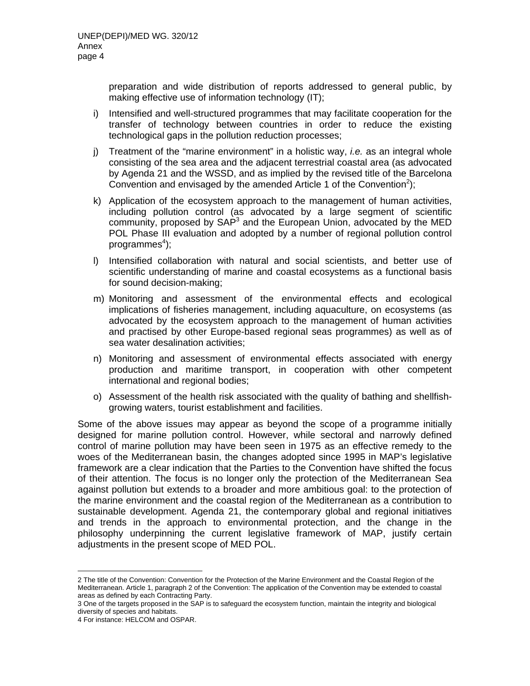preparation and wide distribution of reports addressed to general public, by making effective use of information technology (IT);

- i) Intensified and well-structured programmes that may facilitate cooperation for the transfer of technology between countries in order to reduce the existing technological gaps in the pollution reduction processes;
- j) Treatment of the "marine environment" in a holistic way, *i.e.* as an integral whole consisting of the sea area and the adjacent terrestrial coastal area (as advocated by Agenda 21 and the WSSD, and as implied by the revised title of the Barcelona Convention and envisaged by the amended Article 1 of the Convention<sup>2</sup>);
- k) Application of the ecosystem approach to the management of human activities, including pollution control (as advocated by a large segment of scientific community, proposed by SAP<sup>3</sup> and the European Union, advocated by the MED POL Phase III evaluation and adopted by a number of regional pollution control programmes<sup>4</sup>);
- l) Intensified collaboration with natural and social scientists, and better use of scientific understanding of marine and coastal ecosystems as a functional basis for sound decision-making;
- m) Monitoring and assessment of the environmental effects and ecological implications of fisheries management, including aquaculture, on ecosystems (as advocated by the ecosystem approach to the management of human activities and practised by other Europe-based regional seas programmes) as well as of sea water desalination activities;
- n) Monitoring and assessment of environmental effects associated with energy production and maritime transport, in cooperation with other competent international and regional bodies;
- o) Assessment of the health risk associated with the quality of bathing and shellfishgrowing waters, tourist establishment and facilities.

Some of the above issues may appear as beyond the scope of a programme initially designed for marine pollution control. However, while sectoral and narrowly defined control of marine pollution may have been seen in 1975 as an effective remedy to the woes of the Mediterranean basin, the changes adopted since 1995 in MAP's legislative framework are a clear indication that the Parties to the Convention have shifted the focus of their attention. The focus is no longer only the protection of the Mediterranean Sea against pollution but extends to a broader and more ambitious goal: to the protection of the marine environment and the coastal region of the Mediterranean as a contribution to sustainable development. Agenda 21, the contemporary global and regional initiatives and trends in the approach to environmental protection, and the change in the philosophy underpinning the current legislative framework of MAP, justify certain adjustments in the present scope of MED POL.

 $\overline{a}$ 2 The title of the Convention: Convention for the Protection of the Marine Environment and the Coastal Region of the Mediterranean. Article 1, paragraph 2 of the Convention: The application of the Convention may be extended to coastal areas as defined by each Contracting Party.

<sup>3</sup> One of the targets proposed in the SAP is to safeguard the ecosystem function, maintain the integrity and biological diversity of species and habitats.

<sup>4</sup> For instance: HELCOM and OSPAR.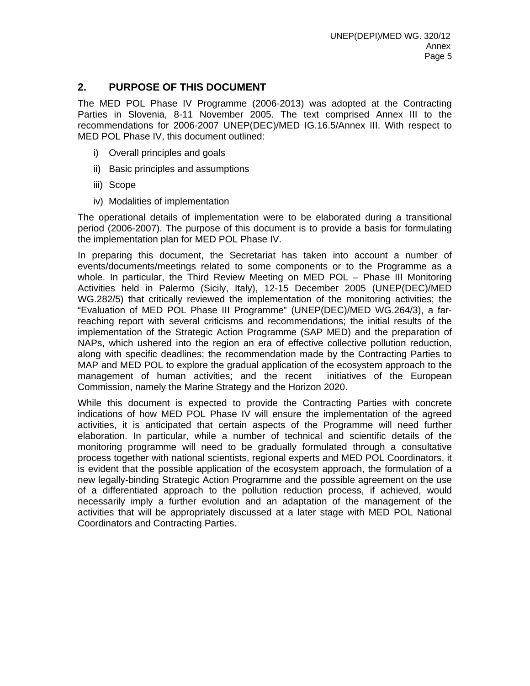#### **2. PURPOSE OF THIS DOCUMENT**

The MED POL Phase IV Programme (2006-2013) was adopted at the Contracting Parties in Slovenia, 8-11 November 2005. The text comprised Annex III to the recommendations for 2006-2007 UNEP(DEC)/MED IG.16.5/Annex III. With respect to MED POL Phase IV, this document outlined:

- i) Overall principles and goals
- ii) Basic principles and assumptions
- iii) Scope
- iv) Modalities of implementation

The operational details of implementation were to be elaborated during a transitional period (2006-2007). The purpose of this document is to provide a basis for formulating the implementation plan for MED POL Phase IV.

In preparing this document, the Secretariat has taken into account a number of events/documents/meetings related to some components or to the Programme as a whole. In particular, the Third Review Meeting on MED POL – Phase III Monitoring Activities held in Palermo (Sicily, Italy), 12-15 December 2005 (UNEP(DEC)/MED WG.282/5) that critically reviewed the implementation of the monitoring activities; the "Evaluation of MED POL Phase III Programme" (UNEP(DEC)/MED WG.264/3), a farreaching report with several criticisms and recommendations; the initial results of the implementation of the Strategic Action Programme (SAP MED) and the preparation of NAPs, which ushered into the region an era of effective collective pollution reduction, along with specific deadlines; the recommendation made by the Contracting Parties to MAP and MED POL to explore the gradual application of the ecosystem approach to the management of human activities; and the recent initiatives of the European Commission, namely the Marine Strategy and the Horizon 2020.

While this document is expected to provide the Contracting Parties with concrete indications of how MED POL Phase IV will ensure the implementation of the agreed activities, it is anticipated that certain aspects of the Programme will need further elaboration. In particular, while a number of technical and scientific details of the monitoring programme will need to be gradually formulated through a consultative process together with national scientists, regional experts and MED POL Coordinators, it is evident that the possible application of the ecosystem approach, the formulation of a new legally-binding Strategic Action Programme and the possible agreement on the use of a differentiated approach to the pollution reduction process, if achieved, would necessarily imply a further evolution and an adaptation of the management of the activities that will be appropriately discussed at a later stage with MED POL National Coordinators and Contracting Parties.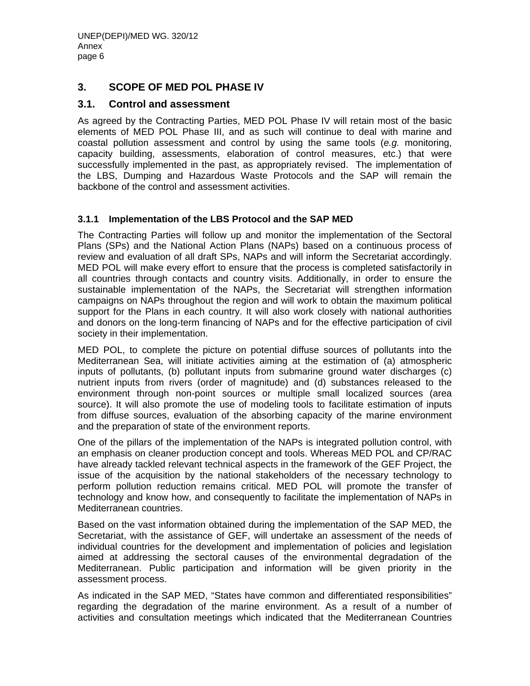#### **3. SCOPE OF MED POL PHASE IV**

#### **3.1. Control and assessment**

As agreed by the Contracting Parties, MED POL Phase IV will retain most of the basic elements of MED POL Phase III, and as such will continue to deal with marine and coastal pollution assessment and control by using the same tools (*e.g.* monitoring, capacity building, assessments, elaboration of control measures, etc.) that were successfully implemented in the past, as appropriately revised. The implementation of the LBS, Dumping and Hazardous Waste Protocols and the SAP will remain the backbone of the control and assessment activities.

#### **3.1.1 Implementation of the LBS Protocol and the SAP MED**

The Contracting Parties will follow up and monitor the implementation of the Sectoral Plans (SPs) and the National Action Plans (NAPs) based on a continuous process of review and evaluation of all draft SPs, NAPs and will inform the Secretariat accordingly. MED POL will make every effort to ensure that the process is completed satisfactorily in all countries through contacts and country visits. Additionally, in order to ensure the sustainable implementation of the NAPs, the Secretariat will strengthen information campaigns on NAPs throughout the region and will work to obtain the maximum political support for the Plans in each country. It will also work closely with national authorities and donors on the long-term financing of NAPs and for the effective participation of civil society in their implementation.

MED POL, to complete the picture on potential diffuse sources of pollutants into the Mediterranean Sea, will initiate activities aiming at the estimation of (a) atmospheric inputs of pollutants, (b) pollutant inputs from submarine ground water discharges (c) nutrient inputs from rivers (order of magnitude) and (d) substances released to the environment through non-point sources or multiple small localized sources (area source). It will also promote the use of modeling tools to facilitate estimation of inputs from diffuse sources, evaluation of the absorbing capacity of the marine environment and the preparation of state of the environment reports.

One of the pillars of the implementation of the NAPs is integrated pollution control, with an emphasis on cleaner production concept and tools. Whereas MED POL and CP/RAC have already tackled relevant technical aspects in the framework of the GEF Project, the issue of the acquisition by the national stakeholders of the necessary technology to perform pollution reduction remains critical. MED POL will promote the transfer of technology and know how, and consequently to facilitate the implementation of NAPs in Mediterranean countries.

Based on the vast information obtained during the implementation of the SAP MED, the Secretariat, with the assistance of GEF, will undertake an assessment of the needs of individual countries for the development and implementation of policies and legislation aimed at addressing the sectoral causes of the environmental degradation of the Mediterranean. Public participation and information will be given priority in the assessment process.

As indicated in the SAP MED, "States have common and differentiated responsibilities" regarding the degradation of the marine environment. As a result of a number of activities and consultation meetings which indicated that the Mediterranean Countries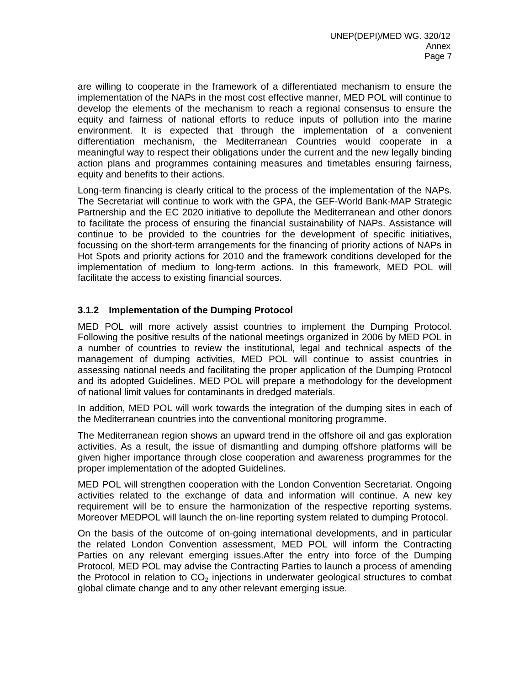are willing to cooperate in the framework of a differentiated mechanism to ensure the implementation of the NAPs in the most cost effective manner, MED POL will continue to develop the elements of the mechanism to reach a regional consensus to ensure the equity and fairness of national efforts to reduce inputs of pollution into the marine environment. It is expected that through the implementation of a convenient differentiation mechanism, the Mediterranean Countries would cooperate in a meaningful way to respect their obligations under the current and the new legally binding action plans and programmes containing measures and timetables ensuring fairness, equity and benefits to their actions.

Long-term financing is clearly critical to the process of the implementation of the NAPs. The Secretariat will continue to work with the GPA, the GEF-World Bank-MAP Strategic Partnership and the EC 2020 initiative to depollute the Mediterranean and other donors to facilitate the process of ensuring the financial sustainability of NAPs. Assistance will continue to be provided to the countries for the development of specific initiatives, focussing on the short-term arrangements for the financing of priority actions of NAPs in Hot Spots and priority actions for 2010 and the framework conditions developed for the implementation of medium to long-term actions. In this framework, MED POL will facilitate the access to existing financial sources.

#### **3.1.2 Implementation of the Dumping Protocol**

MED POL will more actively assist countries to implement the Dumping Protocol. Following the positive results of the national meetings organized in 2006 by MED POL in a number of countries to review the institutional, legal and technical aspects of the management of dumping activities, MED POL will continue to assist countries in assessing national needs and facilitating the proper application of the Dumping Protocol and its adopted Guidelines. MED POL will prepare a methodology for the development of national limit values for contaminants in dredged materials.

In addition, MED POL will work towards the integration of the dumping sites in each of the Mediterranean countries into the conventional monitoring programme.

The Mediterranean region shows an upward trend in the offshore oil and gas exploration activities. As a result, the issue of dismantling and dumping offshore platforms will be given higher importance through close cooperation and awareness programmes for the proper implementation of the adopted Guidelines.

MED POL will strengthen cooperation with the London Convention Secretariat. Ongoing activities related to the exchange of data and information will continue. A new key requirement will be to ensure the harmonization of the respective reporting systems. Moreover MEDPOL will launch the on-line reporting system related to dumping Protocol.

On the basis of the outcome of on-going international developments, and in particular the related London Convention assessment, MED POL will inform the Contracting Parties on any relevant emerging issues.After the entry into force of the Dumping Protocol, MED POL may advise the Contracting Parties to launch a process of amending the Protocol in relation to  $CO<sub>2</sub>$  injections in underwater geological structures to combat global climate change and to any other relevant emerging issue.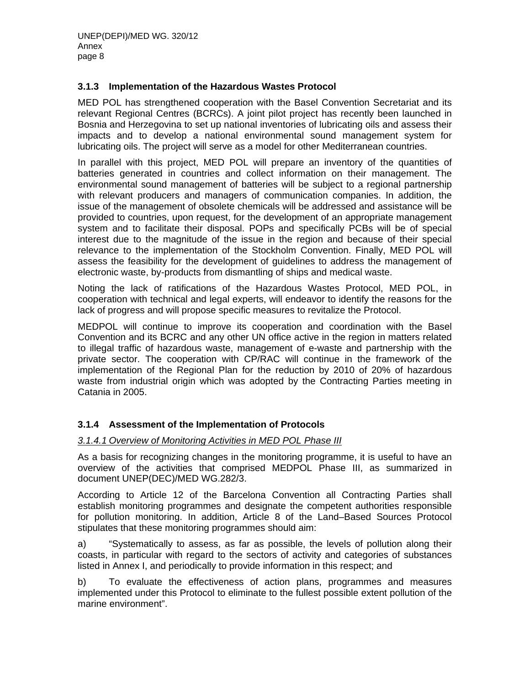#### **3.1.3 Implementation of the Hazardous Wastes Protocol**

MED POL has strengthened cooperation with the Basel Convention Secretariat and its relevant Regional Centres (BCRCs). A joint pilot project has recently been launched in Bosnia and Herzegovina to set up national inventories of lubricating oils and assess their impacts and to develop a national environmental sound management system for lubricating oils. The project will serve as a model for other Mediterranean countries.

In parallel with this project, MED POL will prepare an inventory of the quantities of batteries generated in countries and collect information on their management. The environmental sound management of batteries will be subject to a regional partnership with relevant producers and managers of communication companies. In addition, the issue of the management of obsolete chemicals will be addressed and assistance will be provided to countries, upon request, for the development of an appropriate management system and to facilitate their disposal. POPs and specifically PCBs will be of special interest due to the magnitude of the issue in the region and because of their special relevance to the implementation of the Stockholm Convention. Finally, MED POL will assess the feasibility for the development of guidelines to address the management of electronic waste, by-products from dismantling of ships and medical waste.

Noting the lack of ratifications of the Hazardous Wastes Protocol, MED POL, in cooperation with technical and legal experts, will endeavor to identify the reasons for the lack of progress and will propose specific measures to revitalize the Protocol.

MEDPOL will continue to improve its cooperation and coordination with the Basel Convention and its BCRC and any other UN office active in the region in matters related to illegal traffic of hazardous waste, management of e-waste and partnership with the private sector. The cooperation with CP/RAC will continue in the framework of the implementation of the Regional Plan for the reduction by 2010 of 20% of hazardous waste from industrial origin which was adopted by the Contracting Parties meeting in Catania in 2005.

#### **3.1.4 Assessment of the Implementation of Protocols**

#### *3.1.4.1 Overview of Monitoring Activities in MED POL Phase III*

As a basis for recognizing changes in the monitoring programme, it is useful to have an overview of the activities that comprised MEDPOL Phase III, as summarized in document UNEP(DEC)/MED WG.282/3.

According to Article 12 of the Barcelona Convention all Contracting Parties shall establish monitoring programmes and designate the competent authorities responsible for pollution monitoring. In addition, Article 8 of the Land–Based Sources Protocol stipulates that these monitoring programmes should aim:

a) "Systematically to assess, as far as possible, the levels of pollution along their coasts, in particular with regard to the sectors of activity and categories of substances listed in Annex I, and periodically to provide information in this respect; and

b) To evaluate the effectiveness of action plans, programmes and measures implemented under this Protocol to eliminate to the fullest possible extent pollution of the marine environment".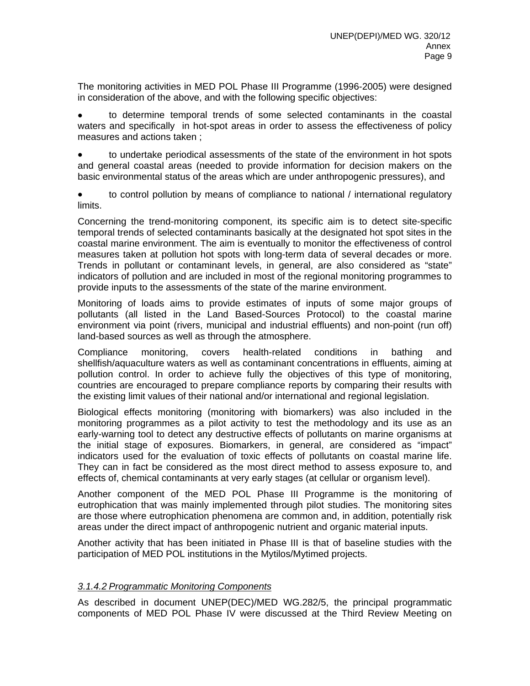The monitoring activities in MED POL Phase III Programme (1996-2005) were designed in consideration of the above, and with the following specific objectives:

• to determine temporal trends of some selected contaminants in the coastal waters and specifically in hot-spot areas in order to assess the effectiveness of policy measures and actions taken ;

• to undertake periodical assessments of the state of the environment in hot spots and general coastal areas (needed to provide information for decision makers on the basic environmental status of the areas which are under anthropogenic pressures), and

• to control pollution by means of compliance to national / international regulatory limits.

Concerning the trend-monitoring component, its specific aim is to detect site-specific temporal trends of selected contaminants basically at the designated hot spot sites in the coastal marine environment. The aim is eventually to monitor the effectiveness of control measures taken at pollution hot spots with long-term data of several decades or more. Trends in pollutant or contaminant levels, in general, are also considered as "state" indicators of pollution and are included in most of the regional monitoring programmes to provide inputs to the assessments of the state of the marine environment.

Monitoring of loads aims to provide estimates of inputs of some major groups of pollutants (all listed in the Land Based-Sources Protocol) to the coastal marine environment via point (rivers, municipal and industrial effluents) and non-point (run off) land-based sources as well as through the atmosphere.

Compliance monitoring, covers health-related conditions in bathing and shellfish/aquaculture waters as well as contaminant concentrations in effluents, aiming at pollution control. In order to achieve fully the objectives of this type of monitoring, countries are encouraged to prepare compliance reports by comparing their results with the existing limit values of their national and/or international and regional legislation.

Biological effects monitoring (monitoring with biomarkers) was also included in the monitoring programmes as a pilot activity to test the methodology and its use as an early-warning tool to detect any destructive effects of pollutants on marine organisms at the initial stage of exposures. Biomarkers, in general, are considered as "impact" indicators used for the evaluation of toxic effects of pollutants on coastal marine life. They can in fact be considered as the most direct method to assess exposure to, and effects of, chemical contaminants at very early stages (at cellular or organism level).

Another component of the MED POL Phase III Programme is the monitoring of eutrophication that was mainly implemented through pilot studies. The monitoring sites are those where eutrophication phenomena are common and, in addition, potentially risk areas under the direct impact of anthropogenic nutrient and organic material inputs.

Another activity that has been initiated in Phase III is that of baseline studies with the participation of MED POL institutions in the Mytilos/Mytimed projects.

#### *3.1.4.2 Programmatic Monitoring Components*

As described in document UNEP(DEC)/MED WG.282/5, the principal programmatic components of MED POL Phase IV were discussed at the Third Review Meeting on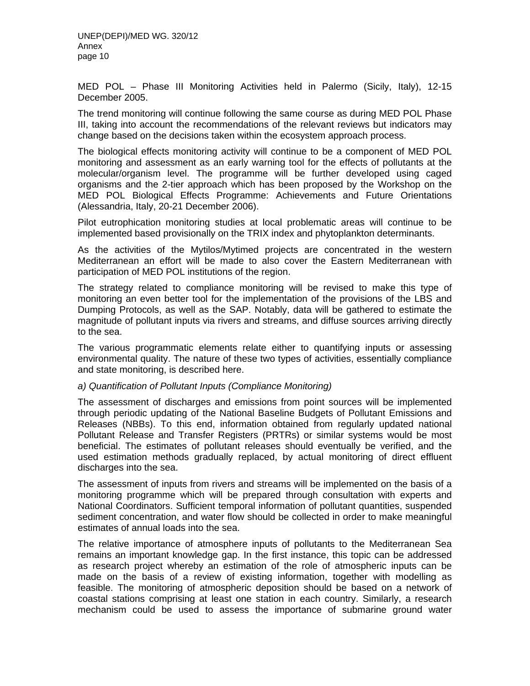MED POL – Phase III Monitoring Activities held in Palermo (Sicily, Italy), 12-15 December 2005.

The trend monitoring will continue following the same course as during MED POL Phase III, taking into account the recommendations of the relevant reviews but indicators may change based on the decisions taken within the ecosystem approach process.

The biological effects monitoring activity will continue to be a component of MED POL monitoring and assessment as an early warning tool for the effects of pollutants at the molecular/organism level. The programme will be further developed using caged organisms and the 2-tier approach which has been proposed by the Workshop on the MED POL Biological Effects Programme: Achievements and Future Orientations (Alessandria, Italy, 20-21 December 2006).

Pilot eutrophication monitoring studies at local problematic areas will continue to be implemented based provisionally on the TRIX index and phytoplankton determinants.

As the activities of the Mytilos/Mytimed projects are concentrated in the western Mediterranean an effort will be made to also cover the Eastern Mediterranean with participation of MED POL institutions of the region.

The strategy related to compliance monitoring will be revised to make this type of monitoring an even better tool for the implementation of the provisions of the LBS and Dumping Protocols, as well as the SAP. Notably, data will be gathered to estimate the magnitude of pollutant inputs via rivers and streams, and diffuse sources arriving directly to the sea.

The various programmatic elements relate either to quantifying inputs or assessing environmental quality. The nature of these two types of activities, essentially compliance and state monitoring, is described here.

#### *a) Quantification of Pollutant Inputs (Compliance Monitoring)*

The assessment of discharges and emissions from point sources will be implemented through periodic updating of the National Baseline Budgets of Pollutant Emissions and Releases (NBBs). To this end, information obtained from regularly updated national Pollutant Release and Transfer Registers (PRTRs) or similar systems would be most beneficial. The estimates of pollutant releases should eventually be verified, and the used estimation methods gradually replaced, by actual monitoring of direct effluent discharges into the sea.

The assessment of inputs from rivers and streams will be implemented on the basis of a monitoring programme which will be prepared through consultation with experts and National Coordinators. Sufficient temporal information of pollutant quantities, suspended sediment concentration, and water flow should be collected in order to make meaningful estimates of annual loads into the sea.

The relative importance of atmosphere inputs of pollutants to the Mediterranean Sea remains an important knowledge gap. In the first instance, this topic can be addressed as research project whereby an estimation of the role of atmospheric inputs can be made on the basis of a review of existing information, together with modelling as feasible. The monitoring of atmospheric deposition should be based on a network of coastal stations comprising at least one station in each country. Similarly, a research mechanism could be used to assess the importance of submarine ground water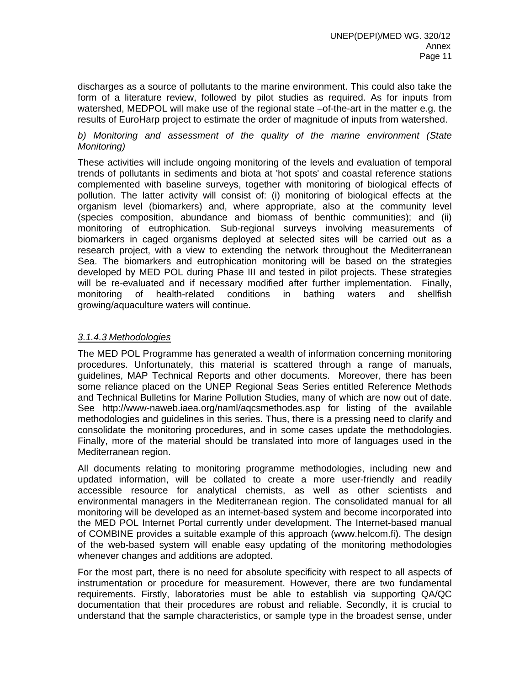discharges as a source of pollutants to the marine environment. This could also take the form of a literature review, followed by pilot studies as required. As for inputs from watershed, MEDPOL will make use of the regional state –of-the-art in the matter e.g. the results of EuroHarp project to estimate the order of magnitude of inputs from watershed.

#### *b) Monitoring and assessment of the quality of the marine environment (State Monitoring)*

These activities will include ongoing monitoring of the levels and evaluation of temporal trends of pollutants in sediments and biota at 'hot spots' and coastal reference stations complemented with baseline surveys, together with monitoring of biological effects of pollution. The latter activity will consist of: (i) monitoring of biological effects at the organism level (biomarkers) and, where appropriate, also at the community level (species composition, abundance and biomass of benthic communities); and (ii) monitoring of eutrophication. Sub-regional surveys involving measurements of biomarkers in caged organisms deployed at selected sites will be carried out as a research project, with a view to extending the network throughout the Mediterranean Sea. The biomarkers and eutrophication monitoring will be based on the strategies developed by MED POL during Phase III and tested in pilot projects. These strategies will be re-evaluated and if necessary modified after further implementation. Finally, monitoring of health-related conditions in bathing waters and shellfish growing/aquaculture waters will continue.

#### *3.1.4.3 Methodologies*

The MED POL Programme has generated a wealth of information concerning monitoring procedures. Unfortunately, this material is scattered through a range of manuals, guidelines, MAP Technical Reports and other documents. Moreover, there has been some reliance placed on the UNEP Regional Seas Series entitled Reference Methods and Technical Bulletins for Marine Pollution Studies, many of which are now out of date. See http://www-naweb.iaea.org/naml/aqcsmethodes.asp for listing of the available methodologies and guidelines in this series. Thus, there is a pressing need to clarify and consolidate the monitoring procedures, and in some cases update the methodologies. Finally, more of the material should be translated into more of languages used in the Mediterranean region.

All documents relating to monitoring programme methodologies, including new and updated information, will be collated to create a more user-friendly and readily accessible resource for analytical chemists, as well as other scientists and environmental managers in the Mediterranean region. The consolidated manual for all monitoring will be developed as an internet-based system and become incorporated into the MED POL Internet Portal currently under development. The Internet-based manual of COMBINE provides a suitable example of this approach (www.helcom.fi). The design of the web-based system will enable easy updating of the monitoring methodologies whenever changes and additions are adopted.

For the most part, there is no need for absolute specificity with respect to all aspects of instrumentation or procedure for measurement. However, there are two fundamental requirements. Firstly, laboratories must be able to establish via supporting QA/QC documentation that their procedures are robust and reliable. Secondly, it is crucial to understand that the sample characteristics, or sample type in the broadest sense, under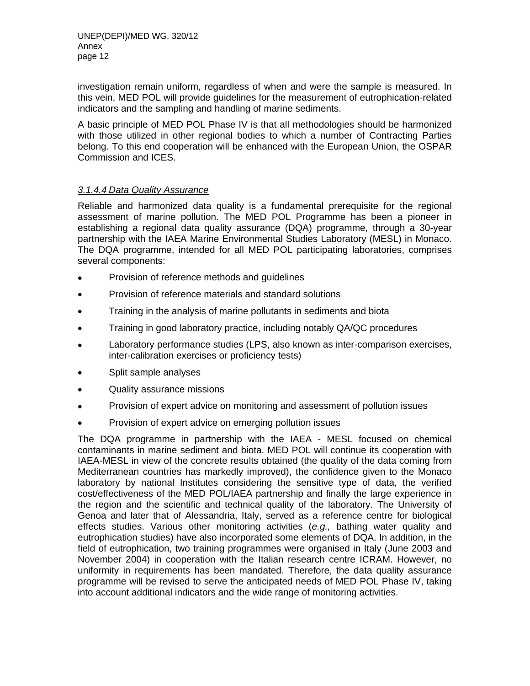investigation remain uniform, regardless of when and were the sample is measured. In this vein, MED POL will provide guidelines for the measurement of eutrophication-related indicators and the sampling and handling of marine sediments.

A basic principle of MED POL Phase IV is that all methodologies should be harmonized with those utilized in other regional bodies to which a number of Contracting Parties belong. To this end cooperation will be enhanced with the European Union, the OSPAR Commission and ICES.

#### *3.1.4.4 Data Quality Assurance*

Reliable and harmonized data quality is a fundamental prerequisite for the regional assessment of marine pollution. The MED POL Programme has been a pioneer in establishing a regional data quality assurance (DQA) programme, through a 30-year partnership with the IAEA Marine Environmental Studies Laboratory (MESL) in Monaco. The DQA programme, intended for all MED POL participating laboratories, comprises several components:

- Provision of reference methods and guidelines
- Provision of reference materials and standard solutions
- Training in the analysis of marine pollutants in sediments and biota
- Training in good laboratory practice, including notably QA/QC procedures
- Laboratory performance studies (LPS, also known as inter-comparison exercises, inter-calibration exercises or proficiency tests)
- Split sample analyses
- Quality assurance missions
- Provision of expert advice on monitoring and assessment of pollution issues
- Provision of expert advice on emerging pollution issues

The DQA programme in partnership with the IAEA - MESL focused on chemical contaminants in marine sediment and biota. MED POL will continue its cooperation with IAEA-MESL in view of the concrete results obtained (the quality of the data coming from Mediterranean countries has markedly improved), the confidence given to the Monaco laboratory by national Institutes considering the sensitive type of data, the verified cost/effectiveness of the MED POL/IAEA partnership and finally the large experience in the region and the scientific and technical quality of the laboratory. The University of Genoa and later that of Alessandria, Italy, served as a reference centre for biological effects studies. Various other monitoring activities (*e.g.,* bathing water quality and eutrophication studies) have also incorporated some elements of DQA. In addition, in the field of eutrophication, two training programmes were organised in Italy (June 2003 and November 2004) in cooperation with the Italian research centre ICRAM. However, no uniformity in requirements has been mandated. Therefore, the data quality assurance programme will be revised to serve the anticipated needs of MED POL Phase IV, taking into account additional indicators and the wide range of monitoring activities.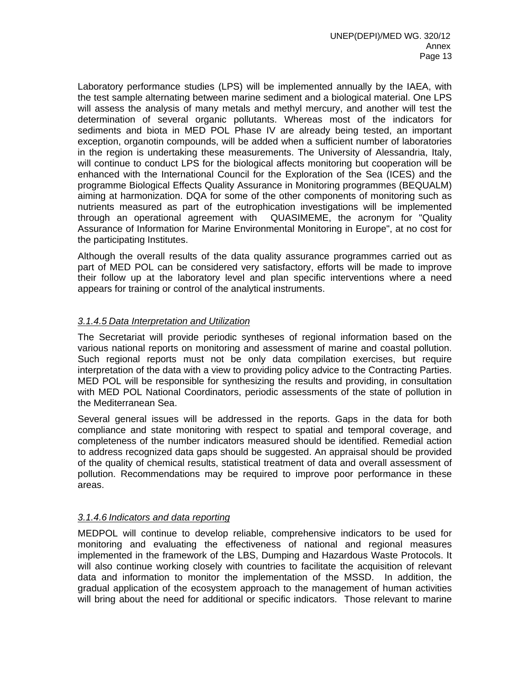Laboratory performance studies (LPS) will be implemented annually by the IAEA, with the test sample alternating between marine sediment and a biological material. One LPS will assess the analysis of many metals and methyl mercury, and another will test the determination of several organic pollutants. Whereas most of the indicators for sediments and biota in MED POL Phase IV are already being tested, an important exception, organotin compounds, will be added when a sufficient number of laboratories in the region is undertaking these measurements. The University of Alessandria, Italy, will continue to conduct LPS for the biological affects monitoring but cooperation will be enhanced with the International Council for the Exploration of the Sea (ICES) and the programme Biological Effects Quality Assurance in Monitoring programmes (BEQUALM) aiming at harmonization. DQA for some of the other components of monitoring such as nutrients measured as part of the eutrophication investigations will be implemented through an operational agreement with QUASIMEME, the acronym for "Quality Assurance of Information for Marine Environmental Monitoring in Europe", at no cost for the participating Institutes.

Although the overall results of the data quality assurance programmes carried out as part of MED POL can be considered very satisfactory, efforts will be made to improve their follow up at the laboratory level and plan specific interventions where a need appears for training or control of the analytical instruments.

#### *3.1.4.5 Data Interpretation and Utilization*

The Secretariat will provide periodic syntheses of regional information based on the various national reports on monitoring and assessment of marine and coastal pollution. Such regional reports must not be only data compilation exercises, but require interpretation of the data with a view to providing policy advice to the Contracting Parties. MED POL will be responsible for synthesizing the results and providing, in consultation with MED POL National Coordinators, periodic assessments of the state of pollution in the Mediterranean Sea.

Several general issues will be addressed in the reports. Gaps in the data for both compliance and state monitoring with respect to spatial and temporal coverage, and completeness of the number indicators measured should be identified. Remedial action to address recognized data gaps should be suggested. An appraisal should be provided of the quality of chemical results, statistical treatment of data and overall assessment of pollution. Recommendations may be required to improve poor performance in these areas.

#### *3.1.4.6 Indicators and data reporting*

MEDPOL will continue to develop reliable, comprehensive indicators to be used for monitoring and evaluating the effectiveness of national and regional measures implemented in the framework of the LBS, Dumping and Hazardous Waste Protocols. It will also continue working closely with countries to facilitate the acquisition of relevant data and information to monitor the implementation of the MSSD. In addition, the gradual application of the ecosystem approach to the management of human activities will bring about the need for additional or specific indicators. Those relevant to marine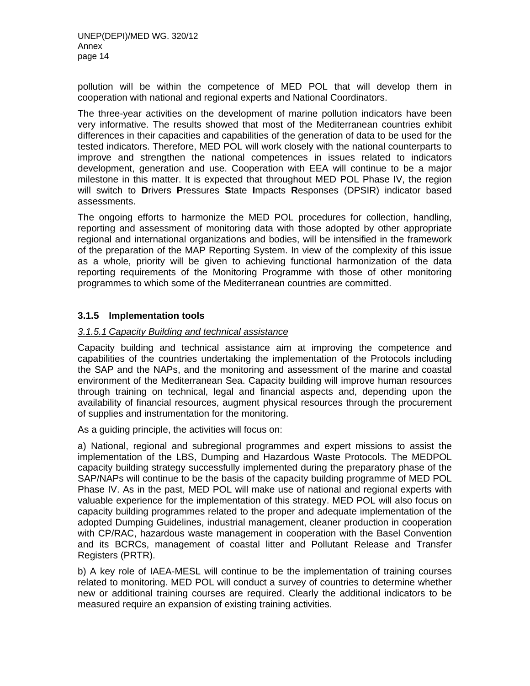pollution will be within the competence of MED POL that will develop them in cooperation with national and regional experts and National Coordinators.

The three-year activities on the development of marine pollution indicators have been very informative. The results showed that most of the Mediterranean countries exhibit differences in their capacities and capabilities of the generation of data to be used for the tested indicators. Therefore, MED POL will work closely with the national counterparts to improve and strengthen the national competences in issues related to indicators development, generation and use. Cooperation with EEA will continue to be a major milestone in this matter. It is expected that throughout MED POL Phase IV, the region will switch to **D**rivers **P**ressures **S**tate **I**mpacts **R**esponses (DPSIR) indicator based assessments.

The ongoing efforts to harmonize the MED POL procedures for collection, handling, reporting and assessment of monitoring data with those adopted by other appropriate regional and international organizations and bodies, will be intensified in the framework of the preparation of the MAP Reporting System. In view of the complexity of this issue as a whole, priority will be given to achieving functional harmonization of the data reporting requirements of the Monitoring Programme with those of other monitoring programmes to which some of the Mediterranean countries are committed.

#### **3.1.5 Implementation tools**

#### *3.1.5.1 Capacity Building and technical assistance*

Capacity building and technical assistance aim at improving the competence and capabilities of the countries undertaking the implementation of the Protocols including the SAP and the NAPs, and the monitoring and assessment of the marine and coastal environment of the Mediterranean Sea. Capacity building will improve human resources through training on technical, legal and financial aspects and, depending upon the availability of financial resources, augment physical resources through the procurement of supplies and instrumentation for the monitoring.

As a guiding principle, the activities will focus on:

a) National, regional and subregional programmes and expert missions to assist the implementation of the LBS, Dumping and Hazardous Waste Protocols. The MEDPOL capacity building strategy successfully implemented during the preparatory phase of the SAP/NAPs will continue to be the basis of the capacity building programme of MED POL Phase IV. As in the past, MED POL will make use of national and regional experts with valuable experience for the implementation of this strategy. MED POL will also focus on capacity building programmes related to the proper and adequate implementation of the adopted Dumping Guidelines, industrial management, cleaner production in cooperation with CP/RAC, hazardous waste management in cooperation with the Basel Convention and its BCRCs, management of coastal litter and Pollutant Release and Transfer Registers (PRTR).

b) A key role of IAEA-MESL will continue to be the implementation of training courses related to monitoring. MED POL will conduct a survey of countries to determine whether new or additional training courses are required. Clearly the additional indicators to be measured require an expansion of existing training activities.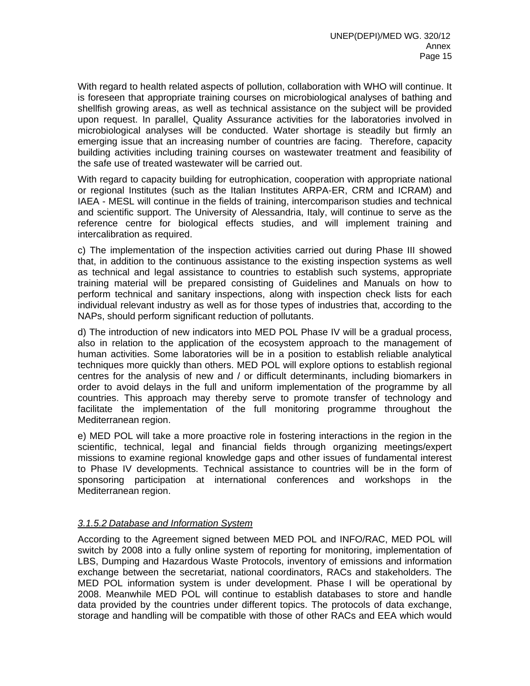With regard to health related aspects of pollution, collaboration with WHO will continue. It is foreseen that appropriate training courses on microbiological analyses of bathing and shellfish growing areas, as well as technical assistance on the subject will be provided upon request. In parallel, Quality Assurance activities for the laboratories involved in microbiological analyses will be conducted. Water shortage is steadily but firmly an emerging issue that an increasing number of countries are facing. Therefore, capacity building activities including training courses on wastewater treatment and feasibility of the safe use of treated wastewater will be carried out.

With regard to capacity building for eutrophication, cooperation with appropriate national or regional Institutes (such as the Italian Institutes ARPA-ER, CRM and ICRAM) and IAEA - MESL will continue in the fields of training, intercomparison studies and technical and scientific support. The University of Alessandria, Italy, will continue to serve as the reference centre for biological effects studies, and will implement training and intercalibration as required.

c) The implementation of the inspection activities carried out during Phase III showed that, in addition to the continuous assistance to the existing inspection systems as well as technical and legal assistance to countries to establish such systems, appropriate training material will be prepared consisting of Guidelines and Manuals on how to perform technical and sanitary inspections, along with inspection check lists for each individual relevant industry as well as for those types of industries that, according to the NAPs, should perform significant reduction of pollutants.

d) The introduction of new indicators into MED POL Phase IV will be a gradual process, also in relation to the application of the ecosystem approach to the management of human activities. Some laboratories will be in a position to establish reliable analytical techniques more quickly than others. MED POL will explore options to establish regional centres for the analysis of new and / or difficult determinants, including biomarkers in order to avoid delays in the full and uniform implementation of the programme by all countries. This approach may thereby serve to promote transfer of technology and facilitate the implementation of the full monitoring programme throughout the Mediterranean region.

e) MED POL will take a more proactive role in fostering interactions in the region in the scientific, technical, legal and financial fields through organizing meetings/expert missions to examine regional knowledge gaps and other issues of fundamental interest to Phase IV developments. Technical assistance to countries will be in the form of sponsoring participation at international conferences and workshops in the Mediterranean region.

#### *3.1.5.2 Database and Information System*

According to the Agreement signed between MED POL and INFO/RAC, MED POL will switch by 2008 into a fully online system of reporting for monitoring, implementation of LBS, Dumping and Hazardous Waste Protocols, inventory of emissions and information exchange between the secretariat, national coordinators, RACs and stakeholders. The MED POL information system is under development. Phase I will be operational by 2008. Meanwhile MED POL will continue to establish databases to store and handle data provided by the countries under different topics. The protocols of data exchange, storage and handling will be compatible with those of other RACs and EEA which would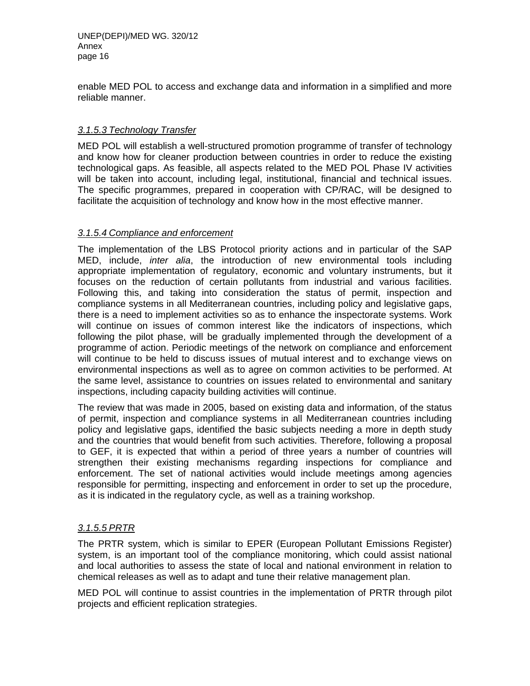enable MED POL to access and exchange data and information in a simplified and more reliable manner.

#### *3.1.5.3 Technology Transfer*

MED POL will establish a well-structured promotion programme of transfer of technology and know how for cleaner production between countries in order to reduce the existing technological gaps. As feasible, all aspects related to the MED POL Phase IV activities will be taken into account, including legal, institutional, financial and technical issues. The specific programmes, prepared in cooperation with CP/RAC, will be designed to facilitate the acquisition of technology and know how in the most effective manner.

#### *3.1.5.4 Compliance and enforcement*

The implementation of the LBS Protocol priority actions and in particular of the SAP MED, include, *inter alia*, the introduction of new environmental tools including appropriate implementation of regulatory, economic and voluntary instruments, but it focuses on the reduction of certain pollutants from industrial and various facilities. Following this, and taking into consideration the status of permit, inspection and compliance systems in all Mediterranean countries, including policy and legislative gaps, there is a need to implement activities so as to enhance the inspectorate systems. Work will continue on issues of common interest like the indicators of inspections, which following the pilot phase, will be gradually implemented through the development of a programme of action. Periodic meetings of the network on compliance and enforcement will continue to be held to discuss issues of mutual interest and to exchange views on environmental inspections as well as to agree on common activities to be performed. At the same level, assistance to countries on issues related to environmental and sanitary inspections, including capacity building activities will continue.

The review that was made in 2005, based on existing data and information, of the status of permit, inspection and compliance systems in all Mediterranean countries including policy and legislative gaps, identified the basic subjects needing a more in depth study and the countries that would benefit from such activities. Therefore, following a proposal to GEF, it is expected that within a period of three years a number of countries will strengthen their existing mechanisms regarding inspections for compliance and enforcement. The set of national activities would include meetings among agencies responsible for permitting, inspecting and enforcement in order to set up the procedure, as it is indicated in the regulatory cycle, as well as a training workshop.

#### *3.1.5.5 PRTR*

The PRTR system, which is similar to EPER (European Pollutant Emissions Register) system, is an important tool of the compliance monitoring, which could assist national and local authorities to assess the state of local and national environment in relation to chemical releases as well as to adapt and tune their relative management plan.

MED POL will continue to assist countries in the implementation of PRTR through pilot projects and efficient replication strategies.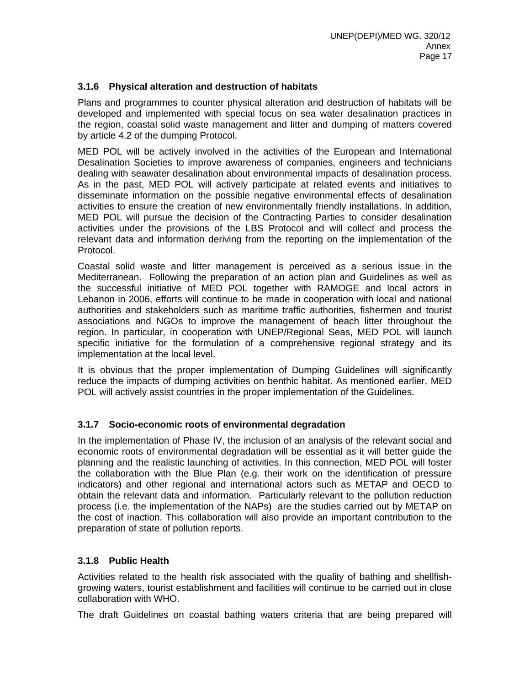#### **3.1.6 Physical alteration and destruction of habitats**

Plans and programmes to counter physical alteration and destruction of habitats will be developed and implemented with special focus on sea water desalination practices in the region, coastal solid waste management and litter and dumping of matters covered by article 4.2 of the dumping Protocol.

MED POL will be actively involved in the activities of the European and International Desalination Societies to improve awareness of companies, engineers and technicians dealing with seawater desalination about environmental impacts of desalination process. As in the past, MED POL will actively participate at related events and initiatives to disseminate information on the possible negative environmental effects of desalination activities to ensure the creation of new environmentally friendly installations. In addition, MED POL will pursue the decision of the Contracting Parties to consider desalination activities under the provisions of the LBS Protocol and will collect and process the relevant data and information deriving from the reporting on the implementation of the Protocol.

Coastal solid waste and litter management is perceived as a serious issue in the Mediterranean. Following the preparation of an action plan and Guidelines as well as the successful initiative of MED POL together with RAMOGE and local actors in Lebanon in 2006, efforts will continue to be made in cooperation with local and national authorities and stakeholders such as maritime traffic authorities, fishermen and tourist associations and NGOs to improve the management of beach litter throughout the region. In particular, in cooperation with UNEP/Regional Seas, MED POL will launch specific initiative for the formulation of a comprehensive regional strategy and its implementation at the local level.

It is obvious that the proper implementation of Dumping Guidelines will significantly reduce the impacts of dumping activities on benthic habitat. As mentioned earlier, MED POL will actively assist countries in the proper implementation of the Guidelines.

#### **3.1.7 Socio-economic roots of environmental degradation**

In the implementation of Phase IV, the inclusion of an analysis of the relevant social and economic roots of environmental degradation will be essential as it will better guide the planning and the realistic launching of activities. In this connection, MED POL will foster the collaboration with the Blue Plan (e.g. their work on the identification of pressure indicators) and other regional and international actors such as METAP and OECD to obtain the relevant data and information. Particularly relevant to the pollution reduction process (i.e. the implementation of the NAPs) are the studies carried out by METAP on the cost of inaction. This collaboration will also provide an important contribution to the preparation of state of pollution reports.

#### **3.1.8 Public Health**

Activities related to the health risk associated with the quality of bathing and shellfishgrowing waters, tourist establishment and facilities will continue to be carried out in close collaboration with WHO.

The draft Guidelines on coastal bathing waters criteria that are being prepared will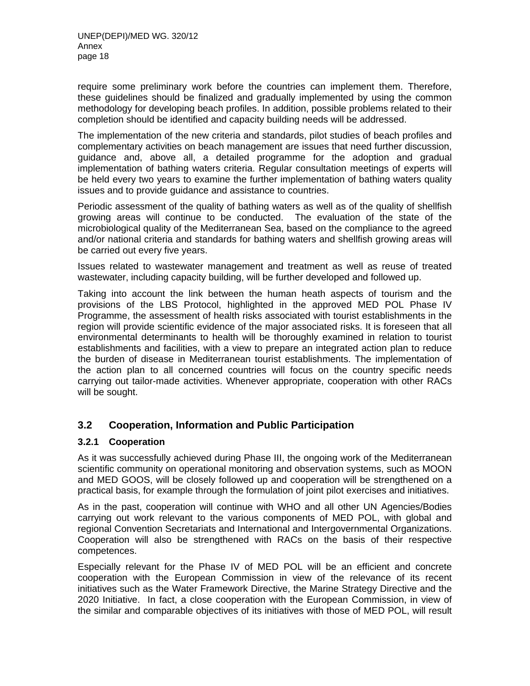require some preliminary work before the countries can implement them. Therefore, these guidelines should be finalized and gradually implemented by using the common methodology for developing beach profiles. In addition, possible problems related to their completion should be identified and capacity building needs will be addressed.

The implementation of the new criteria and standards, pilot studies of beach profiles and complementary activities on beach management are issues that need further discussion, guidance and, above all, a detailed programme for the adoption and gradual implementation of bathing waters criteria. Regular consultation meetings of experts will be held every two years to examine the further implementation of bathing waters quality issues and to provide guidance and assistance to countries.

Periodic assessment of the quality of bathing waters as well as of the quality of shellfish growing areas will continue to be conducted. The evaluation of the state of the microbiological quality of the Mediterranean Sea, based on the compliance to the agreed and/or national criteria and standards for bathing waters and shellfish growing areas will be carried out every five years.

Issues related to wastewater management and treatment as well as reuse of treated wastewater, including capacity building, will be further developed and followed up.

Taking into account the link between the human heath aspects of tourism and the provisions of the LBS Protocol, highlighted in the approved MED POL Phase IV Programme, the assessment of health risks associated with tourist establishments in the region will provide scientific evidence of the major associated risks. It is foreseen that all environmental determinants to health will be thoroughly examined in relation to tourist establishments and facilities, with a view to prepare an integrated action plan to reduce the burden of disease in Mediterranean tourist establishments. The implementation of the action plan to all concerned countries will focus on the country specific needs carrying out tailor-made activities. Whenever appropriate, cooperation with other RACs will be sought.

#### **3.2 Cooperation, Information and Public Participation**

#### **3.2.1 Cooperation**

As it was successfully achieved during Phase III, the ongoing work of the Mediterranean scientific community on operational monitoring and observation systems, such as MOON and MED GOOS, will be closely followed up and cooperation will be strengthened on a practical basis, for example through the formulation of joint pilot exercises and initiatives.

As in the past, cooperation will continue with WHO and all other UN Agencies/Bodies carrying out work relevant to the various components of MED POL, with global and regional Convention Secretariats and International and Intergovernmental Organizations. Cooperation will also be strengthened with RACs on the basis of their respective competences.

Especially relevant for the Phase IV of MED POL will be an efficient and concrete cooperation with the European Commission in view of the relevance of its recent initiatives such as the Water Framework Directive, the Marine Strategy Directive and the 2020 Initiative. In fact, a close cooperation with the European Commission, in view of the similar and comparable objectives of its initiatives with those of MED POL, will result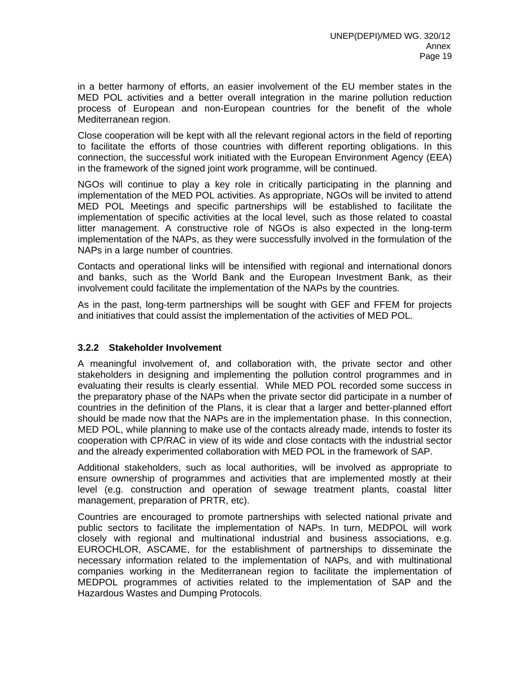in a better harmony of efforts, an easier involvement of the EU member states in the MED POL activities and a better overall integration in the marine pollution reduction process of European and non-European countries for the benefit of the whole Mediterranean region.

Close cooperation will be kept with all the relevant regional actors in the field of reporting to facilitate the efforts of those countries with different reporting obligations. In this connection, the successful work initiated with the European Environment Agency (EEA) in the framework of the signed joint work programme, will be continued.

NGOs will continue to play a key role in critically participating in the planning and implementation of the MED POL activities. As appropriate, NGOs will be invited to attend MED POL Meetings and specific partnerships will be established to facilitate the implementation of specific activities at the local level, such as those related to coastal litter management. A constructive role of NGOs is also expected in the long-term implementation of the NAPs, as they were successfully involved in the formulation of the NAPs in a large number of countries.

Contacts and operational links will be intensified with regional and international donors and banks, such as the World Bank and the European Investment Bank, as their involvement could facilitate the implementation of the NAPs by the countries.

As in the past, long-term partnerships will be sought with GEF and FFEM for projects and initiatives that could assist the implementation of the activities of MED POL.

#### **3.2.2 Stakeholder Involvement**

A meaningful involvement of, and collaboration with, the private sector and other stakeholders in designing and implementing the pollution control programmes and in evaluating their results is clearly essential. While MED POL recorded some success in the preparatory phase of the NAPs when the private sector did participate in a number of countries in the definition of the Plans, it is clear that a larger and better-planned effort should be made now that the NAPs are in the implementation phase. In this connection, MED POL, while planning to make use of the contacts already made, intends to foster its cooperation with CP/RAC in view of its wide and close contacts with the industrial sector and the already experimented collaboration with MED POL in the framework of SAP.

Additional stakeholders, such as local authorities, will be involved as appropriate to ensure ownership of programmes and activities that are implemented mostly at their level (e.g. construction and operation of sewage treatment plants, coastal litter management, preparation of PRTR, etc).

Countries are encouraged to promote partnerships with selected national private and public sectors to facilitate the implementation of NAPs. In turn, MEDPOL will work closely with regional and multinational industrial and business associations, e.g. EUROCHLOR, ASCAME, for the establishment of partnerships to disseminate the necessary information related to the implementation of NAPs, and with multinational companies working in the Mediterranean region to facilitate the implementation of MEDPOL programmes of activities related to the implementation of SAP and the Hazardous Wastes and Dumping Protocols.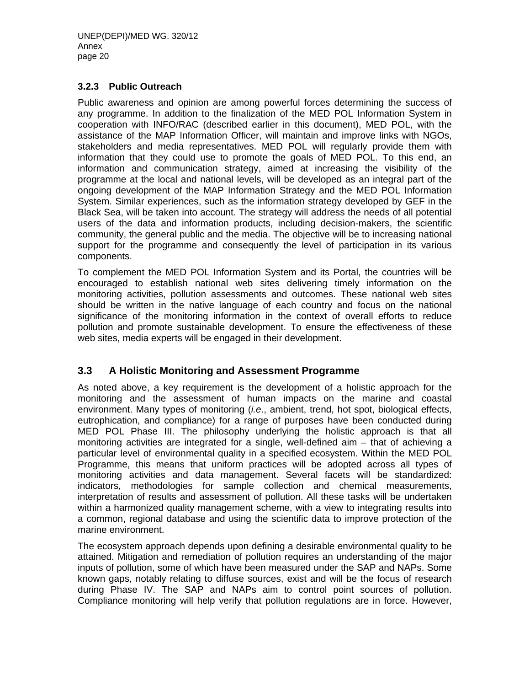#### **3.2.3 Public Outreach**

Public awareness and opinion are among powerful forces determining the success of any programme. In addition to the finalization of the MED POL Information System in cooperation with INFO/RAC (described earlier in this document), MED POL, with the assistance of the MAP Information Officer, will maintain and improve links with NGOs, stakeholders and media representatives. MED POL will regularly provide them with information that they could use to promote the goals of MED POL. To this end, an information and communication strategy, aimed at increasing the visibility of the programme at the local and national levels, will be developed as an integral part of the ongoing development of the MAP Information Strategy and the MED POL Information System. Similar experiences, such as the information strategy developed by GEF in the Black Sea, will be taken into account. The strategy will address the needs of all potential users of the data and information products, including decision-makers, the scientific community, the general public and the media. The objective will be to increasing national support for the programme and consequently the level of participation in its various components.

To complement the MED POL Information System and its Portal, the countries will be encouraged to establish national web sites delivering timely information on the monitoring activities, pollution assessments and outcomes. These national web sites should be written in the native language of each country and focus on the national significance of the monitoring information in the context of overall efforts to reduce pollution and promote sustainable development. To ensure the effectiveness of these web sites, media experts will be engaged in their development.

#### **3.3 A Holistic Monitoring and Assessment Programme**

As noted above, a key requirement is the development of a holistic approach for the monitoring and the assessment of human impacts on the marine and coastal environment. Many types of monitoring (*i.e*., ambient, trend, hot spot, biological effects, eutrophication, and compliance) for a range of purposes have been conducted during MED POL Phase III. The philosophy underlying the holistic approach is that all monitoring activities are integrated for a single, well-defined aim – that of achieving a particular level of environmental quality in a specified ecosystem. Within the MED POL Programme, this means that uniform practices will be adopted across all types of monitoring activities and data management. Several facets will be standardized: indicators, methodologies for sample collection and chemical measurements, interpretation of results and assessment of pollution. All these tasks will be undertaken within a harmonized quality management scheme, with a view to integrating results into a common, regional database and using the scientific data to improve protection of the marine environment.

The ecosystem approach depends upon defining a desirable environmental quality to be attained. Mitigation and remediation of pollution requires an understanding of the major inputs of pollution, some of which have been measured under the SAP and NAPs. Some known gaps, notably relating to diffuse sources, exist and will be the focus of research during Phase IV. The SAP and NAPs aim to control point sources of pollution. Compliance monitoring will help verify that pollution regulations are in force. However,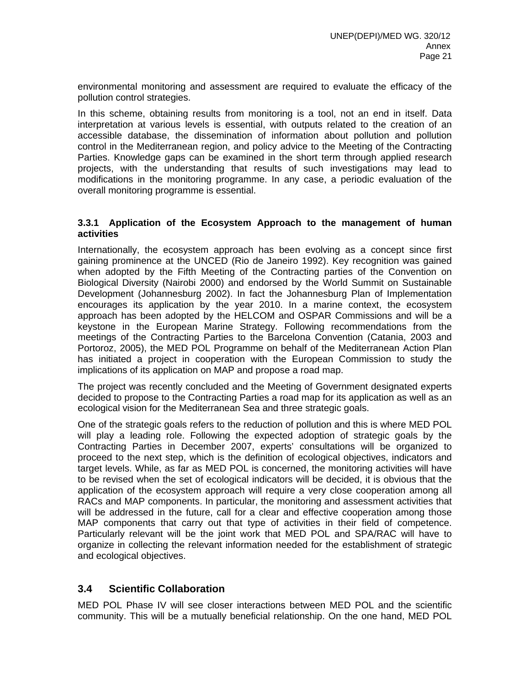environmental monitoring and assessment are required to evaluate the efficacy of the pollution control strategies.

In this scheme, obtaining results from monitoring is a tool, not an end in itself. Data interpretation at various levels is essential, with outputs related to the creation of an accessible database, the dissemination of information about pollution and pollution control in the Mediterranean region, and policy advice to the Meeting of the Contracting Parties. Knowledge gaps can be examined in the short term through applied research projects, with the understanding that results of such investigations may lead to modifications in the monitoring programme. In any case, a periodic evaluation of the overall monitoring programme is essential.

#### **3.3.1 Application of the Ecosystem Approach to the management of human activities**

Internationally, the ecosystem approach has been evolving as a concept since first gaining prominence at the UNCED (Rio de Janeiro 1992). Key recognition was gained when adopted by the Fifth Meeting of the Contracting parties of the Convention on Biological Diversity (Nairobi 2000) and endorsed by the World Summit on Sustainable Development (Johannesburg 2002). In fact the Johannesburg Plan of Implementation encourages its application by the year 2010. In a marine context, the ecosystem approach has been adopted by the HELCOM and OSPAR Commissions and will be a keystone in the European Marine Strategy. Following recommendations from the meetings of the Contracting Parties to the Barcelona Convention (Catania, 2003 and Portoroz, 2005), the MED POL Programme on behalf of the Mediterranean Action Plan has initiated a project in cooperation with the European Commission to study the implications of its application on MAP and propose a road map.

The project was recently concluded and the Meeting of Government designated experts decided to propose to the Contracting Parties a road map for its application as well as an ecological vision for the Mediterranean Sea and three strategic goals.

One of the strategic goals refers to the reduction of pollution and this is where MED POL will play a leading role. Following the expected adoption of strategic goals by the Contracting Parties in December 2007, experts' consultations will be organized to proceed to the next step, which is the definition of ecological objectives, indicators and target levels. While, as far as MED POL is concerned, the monitoring activities will have to be revised when the set of ecological indicators will be decided, it is obvious that the application of the ecosystem approach will require a very close cooperation among all RACs and MAP components. In particular, the monitoring and assessment activities that will be addressed in the future, call for a clear and effective cooperation among those MAP components that carry out that type of activities in their field of competence. Particularly relevant will be the joint work that MED POL and SPA/RAC will have to organize in collecting the relevant information needed for the establishment of strategic and ecological objectives.

#### **3.4 Scientific Collaboration**

MED POL Phase IV will see closer interactions between MED POL and the scientific community. This will be a mutually beneficial relationship. On the one hand, MED POL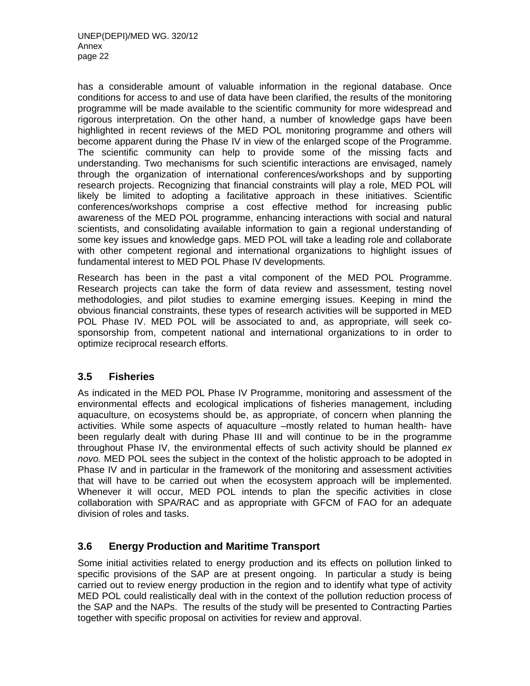has a considerable amount of valuable information in the regional database. Once conditions for access to and use of data have been clarified, the results of the monitoring programme will be made available to the scientific community for more widespread and rigorous interpretation. On the other hand, a number of knowledge gaps have been highlighted in recent reviews of the MED POL monitoring programme and others will become apparent during the Phase IV in view of the enlarged scope of the Programme. The scientific community can help to provide some of the missing facts and understanding. Two mechanisms for such scientific interactions are envisaged, namely through the organization of international conferences/workshops and by supporting research projects. Recognizing that financial constraints will play a role, MED POL will likely be limited to adopting a facilitative approach in these initiatives. Scientific conferences/workshops comprise a cost effective method for increasing public awareness of the MED POL programme, enhancing interactions with social and natural scientists, and consolidating available information to gain a regional understanding of some key issues and knowledge gaps. MED POL will take a leading role and collaborate with other competent regional and international organizations to highlight issues of fundamental interest to MED POL Phase IV developments.

Research has been in the past a vital component of the MED POL Programme. Research projects can take the form of data review and assessment, testing novel methodologies, and pilot studies to examine emerging issues. Keeping in mind the obvious financial constraints, these types of research activities will be supported in MED POL Phase IV. MED POL will be associated to and, as appropriate, will seek cosponsorship from, competent national and international organizations to in order to optimize reciprocal research efforts.

# **3.5 Fisheries**

As indicated in the MED POL Phase IV Programme, monitoring and assessment of the environmental effects and ecological implications of fisheries management, including aquaculture, on ecosystems should be, as appropriate, of concern when planning the activities. While some aspects of aquaculture –mostly related to human health- have been regularly dealt with during Phase III and will continue to be in the programme throughout Phase IV, the environmental effects of such activity should be planned *ex novo.* MED POL sees the subject in the context of the holistic approach to be adopted in Phase IV and in particular in the framework of the monitoring and assessment activities that will have to be carried out when the ecosystem approach will be implemented. Whenever it will occur, MED POL intends to plan the specific activities in close collaboration with SPA/RAC and as appropriate with GFCM of FAO for an adequate division of roles and tasks.

# **3.6 Energy Production and Maritime Transport**

Some initial activities related to energy production and its effects on pollution linked to specific provisions of the SAP are at present ongoing. In particular a study is being carried out to review energy production in the region and to identify what type of activity MED POL could realistically deal with in the context of the pollution reduction process of the SAP and the NAPs. The results of the study will be presented to Contracting Parties together with specific proposal on activities for review and approval.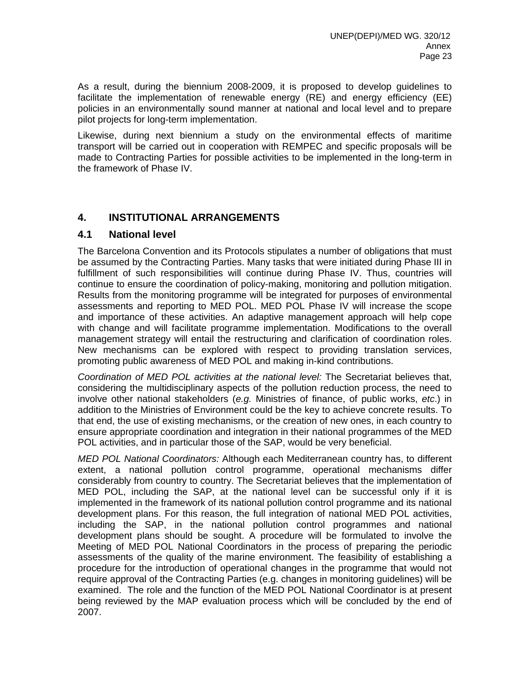As a result, during the biennium 2008-2009, it is proposed to develop guidelines to facilitate the implementation of renewable energy (RE) and energy efficiency (EE) policies in an environmentally sound manner at national and local level and to prepare pilot projects for long-term implementation.

Likewise, during next biennium a study on the environmental effects of maritime transport will be carried out in cooperation with REMPEC and specific proposals will be made to Contracting Parties for possible activities to be implemented in the long-term in the framework of Phase IV.

## **4. INSTITUTIONAL ARRANGEMENTS**

#### **4.1 National level**

The Barcelona Convention and its Protocols stipulates a number of obligations that must be assumed by the Contracting Parties. Many tasks that were initiated during Phase III in fulfillment of such responsibilities will continue during Phase IV. Thus, countries will continue to ensure the coordination of policy-making, monitoring and pollution mitigation. Results from the monitoring programme will be integrated for purposes of environmental assessments and reporting to MED POL. MED POL Phase IV will increase the scope and importance of these activities. An adaptive management approach will help cope with change and will facilitate programme implementation. Modifications to the overall management strategy will entail the restructuring and clarification of coordination roles. New mechanisms can be explored with respect to providing translation services, promoting public awareness of MED POL and making in-kind contributions.

*Coordination of MED POL activities at the national level:* The Secretariat believes that, considering the multidisciplinary aspects of the pollution reduction process, the need to involve other national stakeholders (*e.g.* Ministries of finance, of public works, *etc*.) in addition to the Ministries of Environment could be the key to achieve concrete results. To that end, the use of existing mechanisms, or the creation of new ones, in each country to ensure appropriate coordination and integration in their national programmes of the MED POL activities, and in particular those of the SAP, would be very beneficial.

*MED POL National Coordinators:* Although each Mediterranean country has, to different extent, a national pollution control programme, operational mechanisms differ considerably from country to country. The Secretariat believes that the implementation of MED POL, including the SAP, at the national level can be successful only if it is implemented in the framework of its national pollution control programme and its national development plans. For this reason, the full integration of national MED POL activities, including the SAP, in the national pollution control programmes and national development plans should be sought. A procedure will be formulated to involve the Meeting of MED POL National Coordinators in the process of preparing the periodic assessments of the quality of the marine environment. The feasibility of establishing a procedure for the introduction of operational changes in the programme that would not require approval of the Contracting Parties (e.g. changes in monitoring guidelines) will be examined. The role and the function of the MED POL National Coordinator is at present being reviewed by the MAP evaluation process which will be concluded by the end of 2007.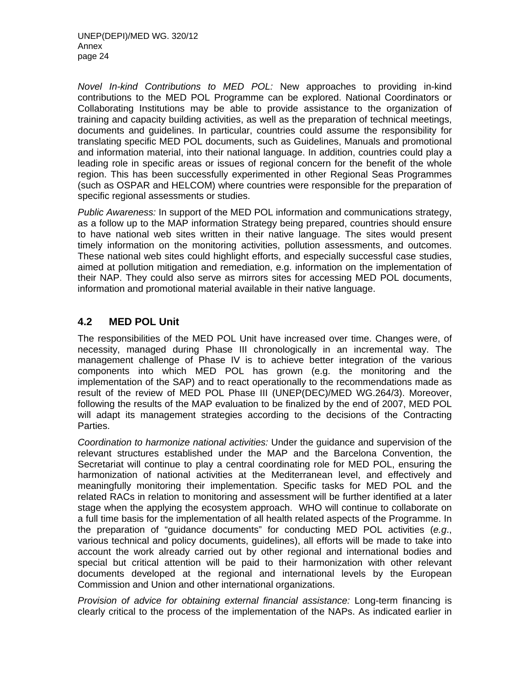*Novel In-kind Contributions to MED POL:* New approaches to providing in-kind contributions to the MED POL Programme can be explored. National Coordinators or Collaborating Institutions may be able to provide assistance to the organization of training and capacity building activities, as well as the preparation of technical meetings, documents and guidelines. In particular, countries could assume the responsibility for translating specific MED POL documents, such as Guidelines, Manuals and promotional and information material, into their national language. In addition, countries could play a leading role in specific areas or issues of regional concern for the benefit of the whole region. This has been successfully experimented in other Regional Seas Programmes (such as OSPAR and HELCOM) where countries were responsible for the preparation of specific regional assessments or studies.

*Public Awareness:* In support of the MED POL information and communications strategy, as a follow up to the MAP information Strategy being prepared, countries should ensure to have national web sites written in their native language. The sites would present timely information on the monitoring activities, pollution assessments, and outcomes. These national web sites could highlight efforts, and especially successful case studies, aimed at pollution mitigation and remediation, e.g. information on the implementation of their NAP. They could also serve as mirrors sites for accessing MED POL documents, information and promotional material available in their native language.

## **4.2 MED POL Unit**

The responsibilities of the MED POL Unit have increased over time. Changes were, of necessity, managed during Phase III chronologically in an incremental way. The management challenge of Phase IV is to achieve better integration of the various components into which MED POL has grown (e.g. the monitoring and the implementation of the SAP) and to react operationally to the recommendations made as result of the review of MED POL Phase III (UNEP(DEC)/MED WG.264/3). Moreover, following the results of the MAP evaluation to be finalized by the end of 2007, MED POL will adapt its management strategies according to the decisions of the Contracting Parties.

*Coordination to harmonize national activities:* Under the guidance and supervision of the relevant structures established under the MAP and the Barcelona Convention, the Secretariat will continue to play a central coordinating role for MED POL, ensuring the harmonization of national activities at the Mediterranean level, and effectively and meaningfully monitoring their implementation. Specific tasks for MED POL and the related RACs in relation to monitoring and assessment will be further identified at a later stage when the applying the ecosystem approach. WHO will continue to collaborate on a full time basis for the implementation of all health related aspects of the Programme. In the preparation of "guidance documents" for conducting MED POL activities (*e.g*., various technical and policy documents, guidelines), all efforts will be made to take into account the work already carried out by other regional and international bodies and special but critical attention will be paid to their harmonization with other relevant documents developed at the regional and international levels by the European Commission and Union and other international organizations.

*Provision of advice for obtaining external financial assistance:* Long-term financing is clearly critical to the process of the implementation of the NAPs. As indicated earlier in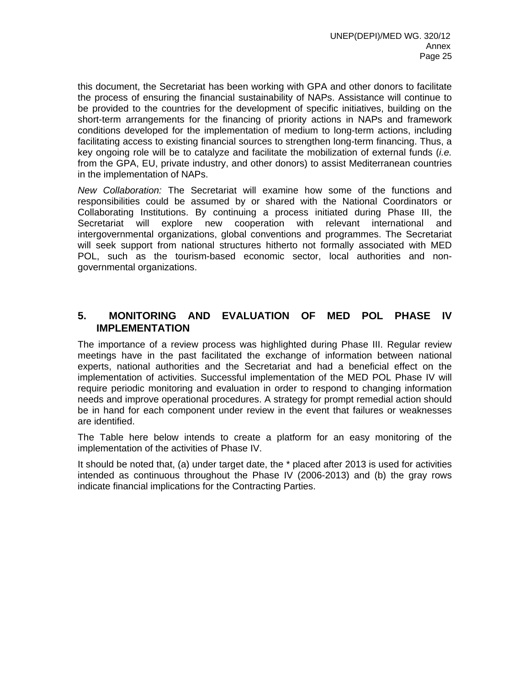this document, the Secretariat has been working with GPA and other donors to facilitate the process of ensuring the financial sustainability of NAPs. Assistance will continue to be provided to the countries for the development of specific initiatives, building on the short-term arrangements for the financing of priority actions in NAPs and framework conditions developed for the implementation of medium to long-term actions, including facilitating access to existing financial sources to strengthen long-term financing. Thus, a key ongoing role will be to catalyze and facilitate the mobilization of external funds (*i.e.* from the GPA, EU, private industry, and other donors) to assist Mediterranean countries in the implementation of NAPs.

*New Collaboration:* The Secretariat will examine how some of the functions and responsibilities could be assumed by or shared with the National Coordinators or Collaborating Institutions. By continuing a process initiated during Phase III, the Secretariat will explore new cooperation with relevant international and intergovernmental organizations, global conventions and programmes. The Secretariat will seek support from national structures hitherto not formally associated with MED POL, such as the tourism-based economic sector, local authorities and nongovernmental organizations.

#### **5. MONITORING AND EVALUATION OF MED POL PHASE IV IMPLEMENTATION**

The importance of a review process was highlighted during Phase III. Regular review meetings have in the past facilitated the exchange of information between national experts, national authorities and the Secretariat and had a beneficial effect on the implementation of activities. Successful implementation of the MED POL Phase IV will require periodic monitoring and evaluation in order to respond to changing information needs and improve operational procedures. A strategy for prompt remedial action should be in hand for each component under review in the event that failures or weaknesses are identified.

The Table here below intends to create a platform for an easy monitoring of the implementation of the activities of Phase IV.

It should be noted that, (a) under target date, the \* placed after 2013 is used for activities intended as continuous throughout the Phase IV (2006-2013) and (b) the gray rows indicate financial implications for the Contracting Parties.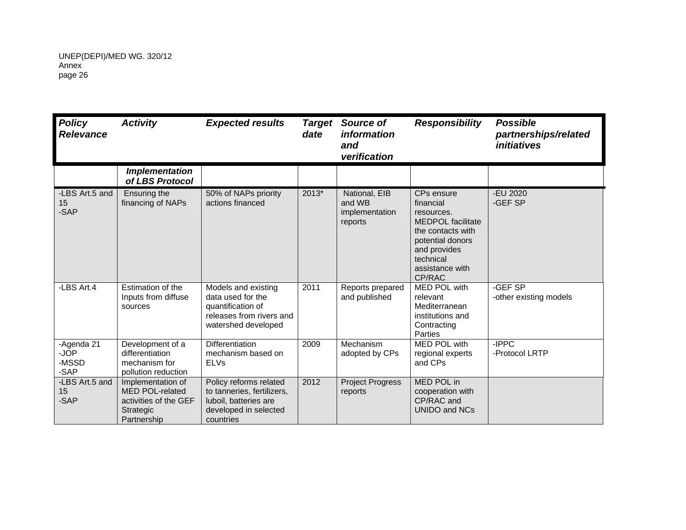| <b>Policy</b><br><b>Relevance</b>   | <b>Activity</b>                                                                                  | <b>Expected results</b>                                                                                             | <b>Target</b><br>date | Source of<br><i>information</i><br>and<br>verification | <b>Responsibility</b>                                                                                                                                                | <b>Possible</b><br>partnerships/related<br><i>initiatives</i> |
|-------------------------------------|--------------------------------------------------------------------------------------------------|---------------------------------------------------------------------------------------------------------------------|-----------------------|--------------------------------------------------------|----------------------------------------------------------------------------------------------------------------------------------------------------------------------|---------------------------------------------------------------|
|                                     | <b>Implementation</b><br>of LBS Protocol                                                         |                                                                                                                     |                       |                                                        |                                                                                                                                                                      |                                                               |
| -LBS Art.5 and<br>15<br>-SAP        | Ensuring the<br>financing of NAPs                                                                | 50% of NAPs priority<br>actions financed                                                                            | 2013*                 | National, EIB<br>and WB<br>implementation<br>reports   | CPs ensure<br>financial<br>resources.<br><b>MEDPOL</b> facilitate<br>the contacts with<br>potential donors<br>and provides<br>technical<br>assistance with<br>CP/RAC | -EU 2020<br>-GEF SP                                           |
| -LBS Art.4                          | Estimation of the<br>Inputs from diffuse<br>sources                                              | Models and existing<br>data used for the<br>quantification of<br>releases from rivers and<br>watershed developed    | 2011                  | Reports prepared<br>and published                      | <b>MED POL with</b><br>relevant<br>Mediterranean<br>institutions and<br>Contracting<br>Parties                                                                       | -GEF SP<br>-other existing models                             |
| -Agenda 21<br>-JOP<br>-MSSD<br>-SAP | Development of a<br>differentiation<br>mechanism for<br>pollution reduction                      | <b>Differentiation</b><br>mechanism based on<br><b>ELVs</b>                                                         | 2009                  | Mechanism<br>adopted by CPs                            | MED POL with<br>regional experts<br>and CPs                                                                                                                          | -IPPC<br>-Protocol LRTP                                       |
| -LBS Art.5 and<br>15<br>-SAP        | Implementation of<br><b>MED POL-related</b><br>activities of the GEF<br>Strategic<br>Partnership | Policy reforms related<br>to tanneries, fertilizers,<br>luboil, batteries are<br>developed in selected<br>countries | 2012                  | <b>Project Progress</b><br>reports                     | MED POL in<br>cooperation with<br>CP/RAC and<br><b>UNIDO and NCs</b>                                                                                                 |                                                               |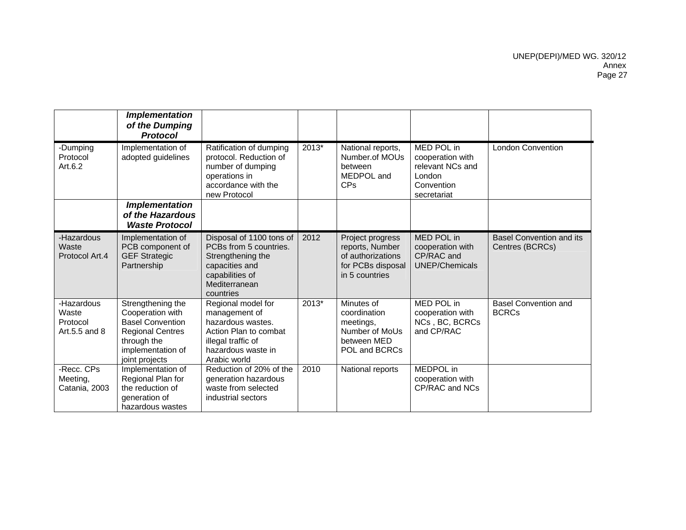|                                                  | <b>Implementation</b><br>of the Dumping<br><b>Protocol</b>                                                                                        |                                                                                                                                               |         |                                                                                                  |                                                                                           |                                                    |
|--------------------------------------------------|---------------------------------------------------------------------------------------------------------------------------------------------------|-----------------------------------------------------------------------------------------------------------------------------------------------|---------|--------------------------------------------------------------------------------------------------|-------------------------------------------------------------------------------------------|----------------------------------------------------|
| -Dumping<br>Protocol<br>Art.6.2                  | Implementation of<br>adopted guidelines                                                                                                           | Ratification of dumping<br>protocol. Reduction of<br>number of dumping<br>operations in<br>accordance with the<br>new Protocol                | $2013*$ | National reports,<br>Number.of MOUs<br>between<br>MEDPOL and<br>CPs                              | MED POL in<br>cooperation with<br>relevant NCs and<br>London<br>Convention<br>secretariat | <b>London Convention</b>                           |
|                                                  | <b>Implementation</b><br>of the Hazardous<br><b>Waste Protocol</b>                                                                                |                                                                                                                                               |         |                                                                                                  |                                                                                           |                                                    |
| -Hazardous<br>Waste<br>Protocol Art.4            | Implementation of<br>PCB component of<br><b>GEF Strategic</b><br>Partnership                                                                      | Disposal of 1100 tons of<br>PCBs from 5 countries.<br>Strengthening the<br>capacities and<br>capabilities of<br>Mediterranean<br>countries    | 2012    | Project progress<br>reports, Number<br>of authorizations<br>for PCBs disposal<br>in 5 countries  | MED POL in<br>cooperation with<br>CP/RAC and<br><b>UNEP/Chemicals</b>                     | <b>Basel Convention and its</b><br>Centres (BCRCs) |
| -Hazardous<br>Waste<br>Protocol<br>Art.5.5 and 8 | Strengthening the<br>Cooperation with<br><b>Basel Convention</b><br><b>Regional Centres</b><br>through the<br>implementation of<br>joint projects | Regional model for<br>management of<br>hazardous wastes.<br>Action Plan to combat<br>illegal traffic of<br>hazardous waste in<br>Arabic world | 2013*   | Minutes of<br>coordination<br>meetings,<br>Number of MoUs<br>between MED<br><b>POL and BCRCs</b> | MED POL in<br>cooperation with<br>NCs, BC, BCRCs<br>and CP/RAC                            | <b>Basel Convention and</b><br><b>BCRCs</b>        |
| -Recc. CPs<br>Meeting,<br>Catania, 2003          | Implementation of<br>Regional Plan for<br>the reduction of<br>generation of<br>hazardous wastes                                                   | Reduction of 20% of the<br>generation hazardous<br>waste from selected<br>industrial sectors                                                  | 2010    | National reports                                                                                 | MEDPOL in<br>cooperation with<br>CP/RAC and NCs                                           |                                                    |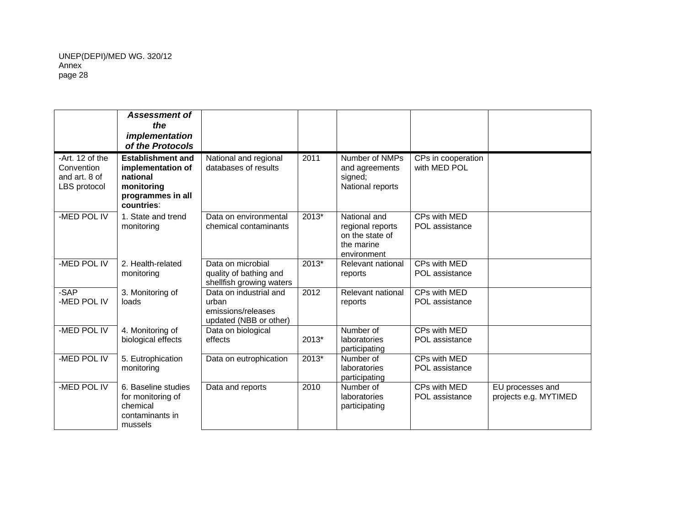|                                                                | <b>Assessment of</b><br>the<br><i>implementation</i><br>of the Protocols                                   |                                                                                 |         |                                                                                  |                                    |                                           |
|----------------------------------------------------------------|------------------------------------------------------------------------------------------------------------|---------------------------------------------------------------------------------|---------|----------------------------------------------------------------------------------|------------------------------------|-------------------------------------------|
| -Art. 12 of the<br>Convention<br>and art. 8 of<br>LBS protocol | <b>Establishment and</b><br>implementation of<br>national<br>monitoring<br>programmes in all<br>countries: | National and regional<br>databases of results                                   | 2011    | Number of NMPs<br>and agreements<br>signed;<br>National reports                  | CPs in cooperation<br>with MED POL |                                           |
| -MED POL IV                                                    | 1. State and trend<br>monitoring                                                                           | Data on environmental<br>chemical contaminants                                  | $2013*$ | National and<br>regional reports<br>on the state of<br>the marine<br>environment | CPs with MED<br>POL assistance     |                                           |
| -MED POL IV                                                    | 2. Health-related<br>monitoring                                                                            | Data on microbial<br>quality of bathing and<br>shellfish growing waters         | 2013*   | Relevant national<br>reports                                                     | CPs with MED<br>POL assistance     |                                           |
| -SAP<br>-MED POL IV                                            | 3. Monitoring of<br>loads                                                                                  | Data on industrial and<br>urban<br>emissions/releases<br>updated (NBB or other) | 2012    | Relevant national<br>reports                                                     | CPs with MED<br>POL assistance     |                                           |
| -MED POL IV                                                    | 4. Monitoring of<br>biological effects                                                                     | Data on biological<br>effects                                                   | 2013*   | Number of<br>laboratories<br>participating                                       | CPs with MED<br>POL assistance     |                                           |
| -MED POL IV                                                    | 5. Eutrophication<br>monitoring                                                                            | Data on eutrophication                                                          | 2013*   | Number of<br>laboratories<br>participating                                       | CPs with MED<br>POL assistance     |                                           |
| -MED POL IV                                                    | 6. Baseline studies<br>for monitoring of<br>chemical<br>contaminants in<br>mussels                         | Data and reports                                                                | 2010    | Number of<br>laboratories<br>participating                                       | CPs with MED<br>POL assistance     | EU processes and<br>projects e.g. MYTIMED |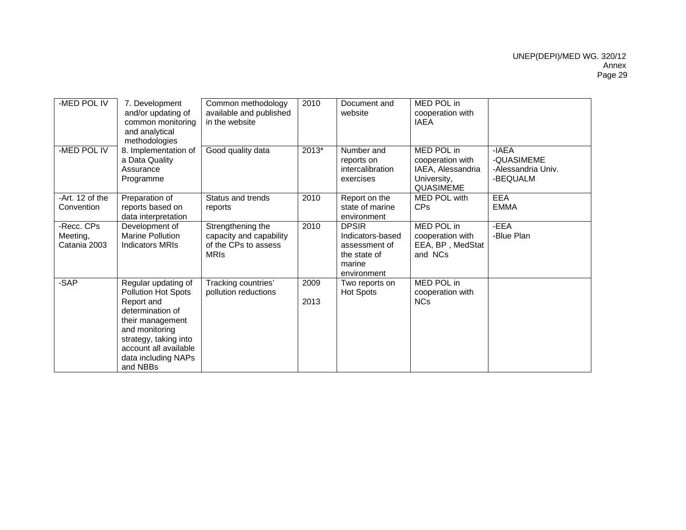| -MED POL IV                            | 7. Development<br>and/or updating of<br>common monitoring<br>and analytical<br>methodologies                                                                                                            | Common methodology<br>available and published<br>in the website                     | 2010         | Document and<br>website                                                                    | MED POL in<br>cooperation with<br><b>IAEA</b>                                          |                                                       |
|----------------------------------------|---------------------------------------------------------------------------------------------------------------------------------------------------------------------------------------------------------|-------------------------------------------------------------------------------------|--------------|--------------------------------------------------------------------------------------------|----------------------------------------------------------------------------------------|-------------------------------------------------------|
| -MED POL IV                            | 8. Implementation of<br>a Data Quality<br>Assurance<br>Programme                                                                                                                                        | Good quality data                                                                   | 2013*        | Number and<br>reports on<br>intercalibration<br>exercises                                  | MED POL in<br>cooperation with<br>IAEA, Alessandria<br>University,<br><b>QUASIMEME</b> | -IAEA<br>-QUASIMEME<br>-Alessandria Univ.<br>-BEQUALM |
| -Art. 12 of the<br>Convention          | Preparation of<br>reports based on<br>data interpretation                                                                                                                                               | Status and trends<br>reports                                                        | 2010         | Report on the<br>state of marine<br>environment                                            | MED POL with<br><b>CPs</b>                                                             | <b>EEA</b><br><b>EMMA</b>                             |
| -Recc. CPs<br>Meeting,<br>Catania 2003 | Development of<br><b>Marine Pollution</b><br><b>Indicators MRIs</b>                                                                                                                                     | Strengthening the<br>capacity and capability<br>of the CPs to assess<br><b>MRIs</b> | 2010         | <b>DPSIR</b><br>Indicators-based<br>assessment of<br>the state of<br>marine<br>environment | MED POL in<br>cooperation with<br>EEA, BP, MedStat<br>and NCs                          | -EEA<br>-Blue Plan                                    |
| -SAP                                   | Regular updating of<br>Pollution Hot Spots<br>Report and<br>determination of<br>their management<br>and monitoring<br>strategy, taking into<br>account all available<br>data including NAPs<br>and NBBs | Tracking countries'<br>pollution reductions                                         | 2009<br>2013 | Two reports on<br><b>Hot Spots</b>                                                         | MED POL in<br>cooperation with<br><b>NCs</b>                                           |                                                       |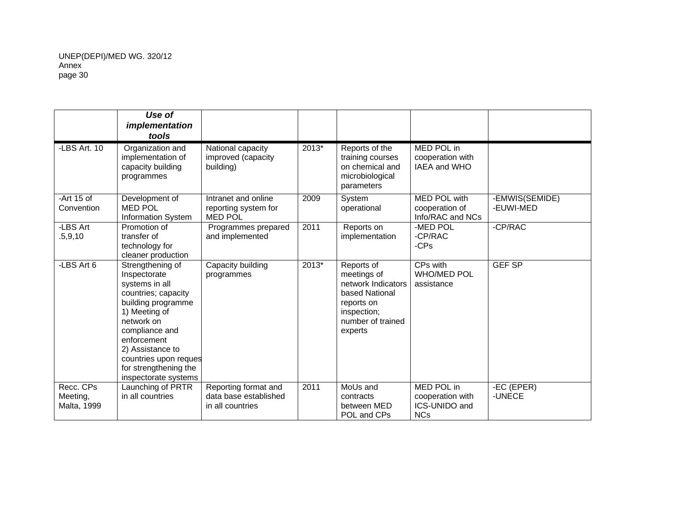|                                      | Use of<br>implementation<br>tools                                                                                                                                                                                                                             |                                                                   |         |                                                                                                                                |                                                               |                             |
|--------------------------------------|---------------------------------------------------------------------------------------------------------------------------------------------------------------------------------------------------------------------------------------------------------------|-------------------------------------------------------------------|---------|--------------------------------------------------------------------------------------------------------------------------------|---------------------------------------------------------------|-----------------------------|
| -LBS Art. 10                         | Organization and<br>implementation of<br>capacity building<br>programmes                                                                                                                                                                                      | National capacity<br>improved (capacity<br>building)              | 2013*   | Reports of the<br>training courses<br>on chemical and<br>microbiological<br>parameters                                         | MED POL in<br>cooperation with<br>IAEA and WHO                |                             |
| -Art $15$ of<br>Convention           | Development of<br><b>MED POL</b><br><b>Information System</b>                                                                                                                                                                                                 | Intranet and online<br>reporting system for<br><b>MED POL</b>     | 2009    | System<br>operational                                                                                                          | MED POL with<br>cooperation of<br>Info/RAC and NCs            | -EMWIS(SEMIDE)<br>-EUWI-MED |
| -LBS Art<br>.5,9,10                  | Promotion of<br>transfer of<br>technology for<br>cleaner production                                                                                                                                                                                           | Programmes prepared<br>and implemented                            | 2011    | Reports on<br>implementation                                                                                                   | -MED POL<br>-CP/RAC<br>-CPs                                   | -CP/RAC                     |
| -LBS Art 6                           | Strengthening of<br>Inspectorate<br>systems in all<br>countries; capacity<br>building programme<br>1) Meeting of<br>network on<br>compliance and<br>enforcement<br>2) Assistance to<br>countries upon reques<br>for strengthening the<br>inspectorate systems | Capacity building<br>programmes                                   | $2013*$ | Reports of<br>meetings of<br>network Indicators<br>based National<br>reports on<br>inspection;<br>number of trained<br>experts | CPs with<br><b>WHO/MED POL</b><br>assistance                  | <b>GEF SP</b>               |
| Recc. CPs<br>Meeting,<br>Malta, 1999 | Launching of PRTR<br>in all countries                                                                                                                                                                                                                         | Reporting format and<br>data base established<br>in all countries | 2011    | MoUs and<br>contracts<br>between MED<br>POL and CPs                                                                            | MED POL in<br>cooperation with<br>ICS-UNIDO and<br><b>NCs</b> | -EC (EPER)<br>-UNECE        |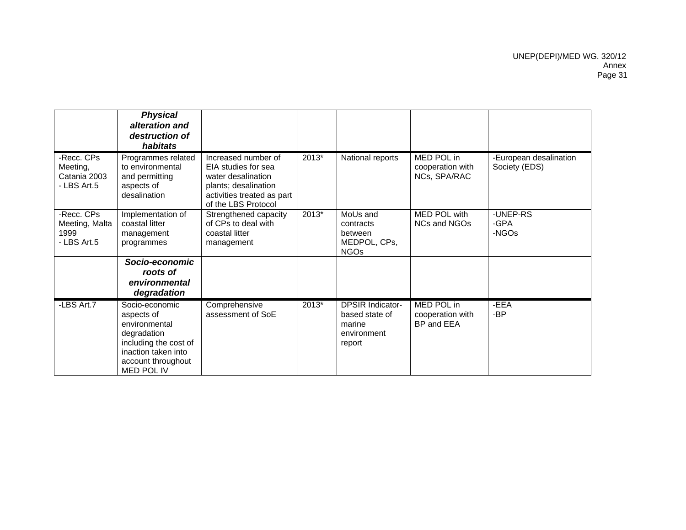|                                                       | <b>Physical</b><br>alteration and<br>destruction of<br>habitats                                                                                  |                                                                                                                                               |         |                                                                              |                                                       |                                         |
|-------------------------------------------------------|--------------------------------------------------------------------------------------------------------------------------------------------------|-----------------------------------------------------------------------------------------------------------------------------------------------|---------|------------------------------------------------------------------------------|-------------------------------------------------------|-----------------------------------------|
| -Recc. CPs<br>Meeting,<br>Catania 2003<br>- LBS Art.5 | Programmes related<br>to environmental<br>and permitting<br>aspects of<br>desalination                                                           | Increased number of<br>EIA studies for sea<br>water desalination<br>plants; desalination<br>activities treated as part<br>of the LBS Protocol | $2013*$ | National reports                                                             | <b>MED POL in</b><br>cooperation with<br>NCs, SPA/RAC | -European desalination<br>Society (EDS) |
| -Recc. CPs<br>Meeting, Malta<br>1999<br>- LBS Art.5   | Implementation of<br>coastal litter<br>management<br>programmes                                                                                  | Strengthened capacity<br>of CPs to deal with<br>coastal litter<br>management                                                                  | 2013*   | MoUs and<br>contracts<br>between<br>MEDPOL, CPs,<br><b>NGOs</b>              | MED POL with<br>NCs and NGOs                          | -UNEP-RS<br>-GPA<br>-NGOs               |
|                                                       | Socio-economic<br>roots of<br>environmental<br>degradation                                                                                       |                                                                                                                                               |         |                                                                              |                                                       |                                         |
| -LBS Art.7                                            | Socio-economic<br>aspects of<br>environmental<br>degradation<br>including the cost of<br>inaction taken into<br>account throughout<br>MED POL IV | Comprehensive<br>assessment of SoE                                                                                                            | 2013*   | <b>DPSIR Indicator-</b><br>based state of<br>marine<br>environment<br>report | MED POL in<br>cooperation with<br>BP and EEA          | -EEA<br>-BP                             |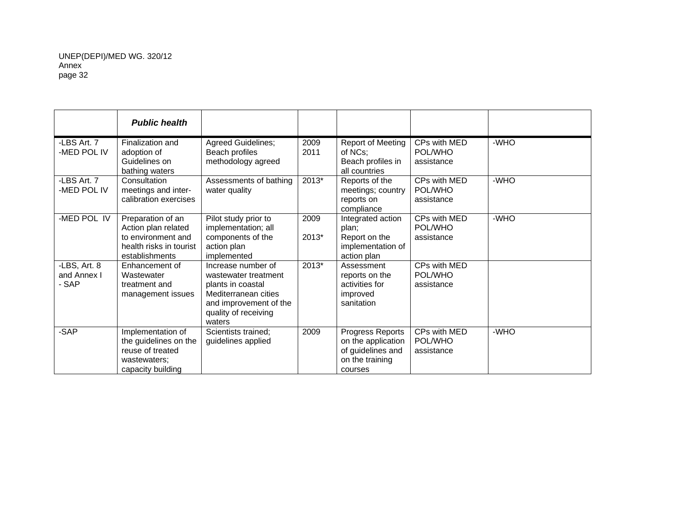|                                      | <b>Public health</b>                                                                                        |                                                                                                                                                     |               |                                                                                           |                                       |        |
|--------------------------------------|-------------------------------------------------------------------------------------------------------------|-----------------------------------------------------------------------------------------------------------------------------------------------------|---------------|-------------------------------------------------------------------------------------------|---------------------------------------|--------|
| -LBS Art. 7<br>-MED POL IV           | Finalization and<br>adoption of<br>Guidelines on<br>bathing waters                                          | Agreed Guidelines;<br>Beach profiles<br>methodology agreed                                                                                          | 2009<br>2011  | Report of Meeting<br>of NCs;<br>Beach profiles in<br>all countries                        | CPs with MED<br>POL/WHO<br>assistance | -WHO   |
| -LBS Art. 7<br>-MED POL IV           | Consultation<br>meetings and inter-<br>calibration exercises                                                | Assessments of bathing<br>water quality                                                                                                             | $2013*$       | Reports of the<br>meetings; country<br>reports on<br>compliance                           | CPs with MED<br>POL/WHO<br>assistance | $-WHO$ |
| -MED POL IV                          | Preparation of an<br>Action plan related<br>to environment and<br>health risks in tourist<br>establishments | Pilot study prior to<br>implementation; all<br>components of the<br>action plan<br>implemented                                                      | 2009<br>2013* | Integrated action<br>plan;<br>Report on the<br>implementation of<br>action plan           | CPs with MED<br>POL/WHO<br>assistance | -WHO   |
| -LBS, Art. 8<br>and Annex I<br>- SAP | Enhancement of<br>Wastewater<br>treatment and<br>management issues                                          | Increase number of<br>wastewater treatment<br>plants in coastal<br>Mediterranean cities<br>and improvement of the<br>quality of receiving<br>waters | 2013*         | Assessment<br>reports on the<br>activities for<br>improved<br>sanitation                  | CPs with MED<br>POL/WHO<br>assistance |        |
| -SAP                                 | Implementation of<br>the guidelines on the<br>reuse of treated<br>wastewaters:<br>capacity building         | Scientists trained;<br>guidelines applied                                                                                                           | 2009          | Progress Reports<br>on the application<br>of guidelines and<br>on the training<br>courses | CPs with MED<br>POL/WHO<br>assistance | -WHO   |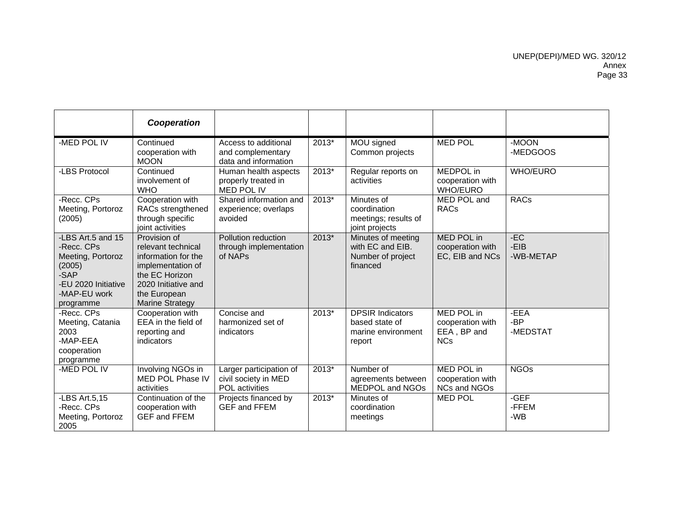|                                                                                                                            | Cooperation                                                                                                                                                       |                                                                          |         |                                                                           |                                                                    |                            |
|----------------------------------------------------------------------------------------------------------------------------|-------------------------------------------------------------------------------------------------------------------------------------------------------------------|--------------------------------------------------------------------------|---------|---------------------------------------------------------------------------|--------------------------------------------------------------------|----------------------------|
| -MED POL IV                                                                                                                | Continued<br>cooperation with<br><b>MOON</b>                                                                                                                      | Access to additional<br>and complementary<br>data and information        | 2013*   | MOU signed<br>Common projects                                             | <b>MED POL</b>                                                     | -MOON<br>-MEDGOOS          |
| -LBS Protocol                                                                                                              | Continued<br>involvement of<br><b>WHO</b>                                                                                                                         | Human health aspects<br>properly treated in<br>MED POL IV                | $2013*$ | Regular reports on<br>activities                                          | MEDPOL in<br>cooperation with<br><b>WHO/EURO</b>                   | <b>WHO/EURO</b>            |
| -Recc. CPs<br>Meeting, Portoroz<br>(2005)                                                                                  | Cooperation with<br>RACs strengthened<br>through specific<br>joint activities                                                                                     | Shared information and<br>experience; overlaps<br>avoided                | 2013*   | Minutes of<br>coordination<br>meetings; results of<br>joint projects      | MED POL and<br><b>RACs</b>                                         | <b>RACs</b>                |
| -LBS Art.5 and 15<br>-Recc. CPs<br>Meeting, Portoroz<br>(2005)<br>-SAP<br>-EU 2020 Initiative<br>-MAP-EU work<br>programme | Provision of<br>relevant technical<br>information for the<br>implementation of<br>the EC Horizon<br>2020 Initiative and<br>the European<br><b>Marine Strategy</b> | Pollution reduction<br>through implementation<br>of NAPs                 | 2013*   | Minutes of meeting<br>with EC and EIB.<br>Number of project<br>financed   | <b>MED POL in</b><br>cooperation with<br>EC, EIB and NCs           | $-EC$<br>-EIB<br>-WB-METAP |
| -Recc. CPs<br>Meeting, Catania<br>2003<br>-MAP-EEA<br>cooperation<br>programme                                             | Cooperation with<br>EEA in the field of<br>reporting and<br>indicators                                                                                            | Concise and<br>harmonized set of<br>indicators                           | 2013*   | <b>DPSIR Indicators</b><br>based state of<br>marine environment<br>report | <b>MED POL in</b><br>cooperation with<br>EEA, BP and<br><b>NCs</b> | -EEA<br>-BP<br>-MEDSTAT    |
| -MED POL IV                                                                                                                | Involving NGOs in<br>MED POL Phase IV<br>activities                                                                                                               | Larger participation of<br>civil society in MED<br><b>POL</b> activities | $2013*$ | Number of<br>agreements between<br>MEDPOL and NGOs                        | <b>MED POL in</b><br>cooperation with<br>NCs and NGOs              | <b>NGOs</b>                |
| -LBS Art.5,15<br>-Recc. CPs<br>Meeting, Portoroz<br>2005                                                                   | Continuation of the<br>cooperation with<br><b>GEF and FFEM</b>                                                                                                    | Projects financed by<br><b>GEF and FFEM</b>                              | $2013*$ | Minutes of<br>coordination<br>meetings                                    | <b>MED POL</b>                                                     | -GEF<br>-FFEM<br>$-WB$     |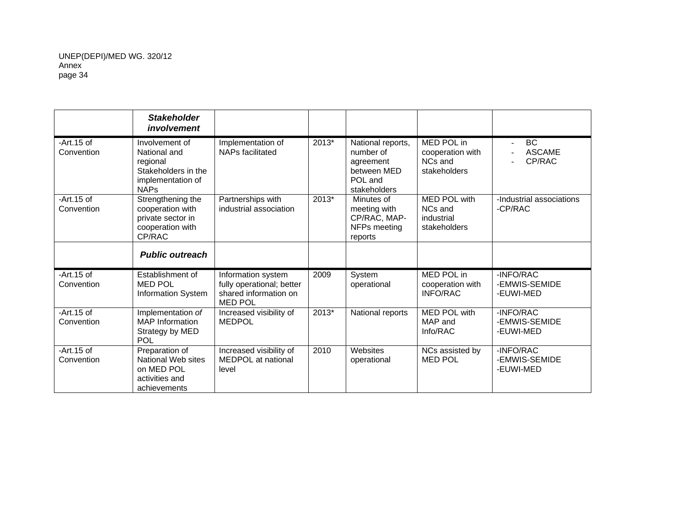|                            | <b>Stakeholder</b><br>involvement                                                                     |                                                                                            |         |                                                                                       |                                                              |                                         |
|----------------------------|-------------------------------------------------------------------------------------------------------|--------------------------------------------------------------------------------------------|---------|---------------------------------------------------------------------------------------|--------------------------------------------------------------|-----------------------------------------|
| $-Art.15$ of<br>Convention | Involvement of<br>National and<br>regional<br>Stakeholders in the<br>implementation of<br><b>NAPs</b> | Implementation of<br>NAPs facilitated                                                      | 2013*   | National reports,<br>number of<br>agreement<br>between MED<br>POL and<br>stakeholders | MED POL in<br>cooperation with<br>NCs and<br>stakeholders    | BC<br><b>ASCAME</b><br>CP/RAC           |
| $-Art.15$ of<br>Convention | Strengthening the<br>cooperation with<br>private sector in<br>cooperation with<br>CP/RAC              | Partnerships with<br>industrial association                                                | 2013*   | Minutes of<br>meeting with<br>CP/RAC, MAP-<br>NFPs meeting<br>reports                 | <b>MED POL with</b><br>NCs and<br>industrial<br>stakeholders | -Industrial associations<br>-CP/RAC     |
|                            | <b>Public outreach</b>                                                                                |                                                                                            |         |                                                                                       |                                                              |                                         |
| $-Art.15$ of<br>Convention | Establishment of<br><b>MED POL</b><br><b>Information System</b>                                       | Information system<br>fully operational; better<br>shared information on<br><b>MED POL</b> | 2009    | System<br>operational                                                                 | MED POL in<br>cooperation with<br><b>INFO/RAC</b>            | -INFO/RAC<br>-EMWIS-SEMIDE<br>-EUWI-MED |
| $-Art.15$ of<br>Convention | Implementation of<br><b>MAP</b> Information<br>Strategy by MED<br><b>POL</b>                          | Increased visibility of<br><b>MEDPOL</b>                                                   | $2013*$ | National reports                                                                      | <b>MED POL with</b><br>MAP and<br>Info/RAC                   | -INFO/RAC<br>-EMWIS-SEMIDE<br>-EUWI-MED |
| $-Art.15$ of<br>Convention | Preparation of<br>National Web sites<br>on MED POL<br>activities and<br>achievements                  | Increased visibility of<br>MEDPOL at national<br>level                                     | 2010    | Websites<br>operational                                                               | NCs assisted by<br><b>MED POL</b>                            | -INFO/RAC<br>-EMWIS-SEMIDE<br>-EUWI-MED |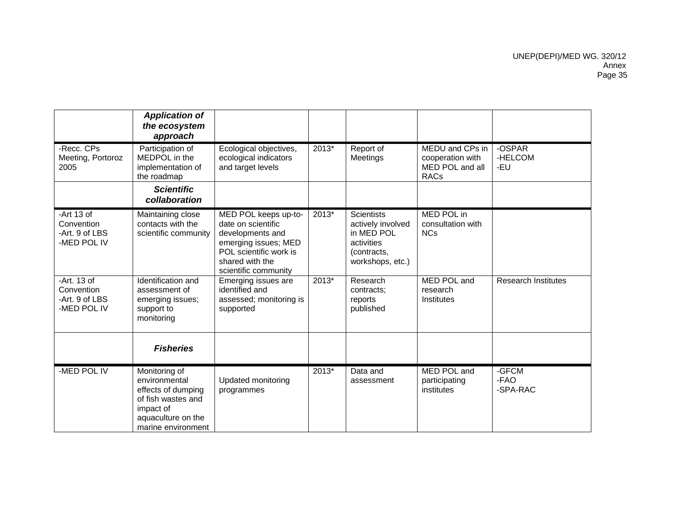|                                                             | <b>Application of</b><br>the ecosystem<br>approach                                                                                  |                                                                                                                                                             |         |                                                                                                       |                                                                       |                            |
|-------------------------------------------------------------|-------------------------------------------------------------------------------------------------------------------------------------|-------------------------------------------------------------------------------------------------------------------------------------------------------------|---------|-------------------------------------------------------------------------------------------------------|-----------------------------------------------------------------------|----------------------------|
| -Recc. CPs<br>Meeting, Portoroz<br>2005                     | Participation of<br>MEDPOL in the<br>implementation of<br>the roadmap                                                               | Ecological objectives,<br>ecological indicators<br>and target levels                                                                                        | 2013*   | Report of<br>Meetings                                                                                 | MEDU and CPs in<br>cooperation with<br>MED POL and all<br><b>RACs</b> | -OSPAR<br>-HELCOM<br>-EU   |
|                                                             | <b>Scientific</b><br>collaboration                                                                                                  |                                                                                                                                                             |         |                                                                                                       |                                                                       |                            |
| -Art $13$ of<br>Convention<br>-Art. 9 of LBS<br>-MED POL IV | Maintaining close<br>contacts with the<br>scientific community                                                                      | MED POL keeps up-to-<br>date on scientific<br>developments and<br>emerging issues; MED<br>POL scientific work is<br>shared with the<br>scientific community | 2013*   | <b>Scientists</b><br>actively involved<br>in MED POL<br>activities<br>(contracts,<br>workshops, etc.) | MED POL in<br>consultation with<br><b>NCs</b>                         |                            |
| -Art. 13 of<br>Convention<br>-Art. 9 of LBS<br>-MED POL IV  | Identification and<br>assessment of<br>emerging issues;<br>support to<br>monitoring                                                 | Emerging issues are<br>identified and<br>assessed; monitoring is<br>supported                                                                               | $2013*$ | Research<br>contracts;<br>reports<br>published                                                        | <b>MED POL and</b><br>research<br>Institutes                          | <b>Research Institutes</b> |
|                                                             | <b>Fisheries</b>                                                                                                                    |                                                                                                                                                             |         |                                                                                                       |                                                                       |                            |
| -MED POL IV                                                 | Monitoring of<br>environmental<br>effects of dumping<br>of fish wastes and<br>impact of<br>aquaculture on the<br>marine environment | Updated monitoring<br>programmes                                                                                                                            | 2013*   | Data and<br>assessment                                                                                | MED POL and<br>participating<br>institutes                            | -GFCM<br>-FAO<br>-SPA-RAC  |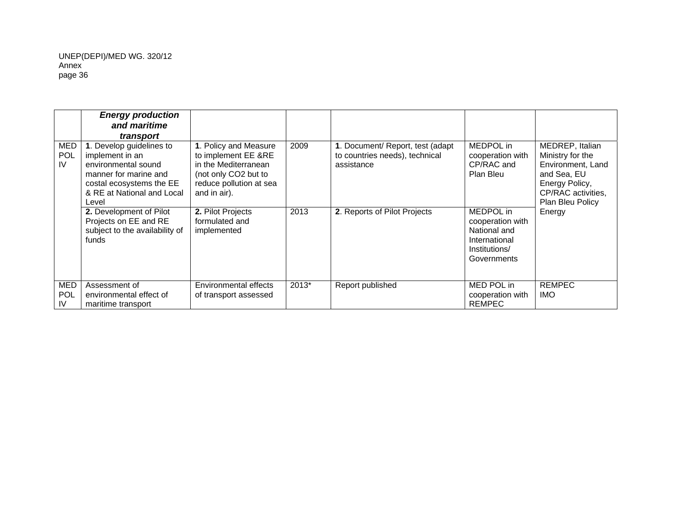|                                | <b>Energy production</b><br>and maritime<br>transport                                                                                                          |                                                                                                                                         |       |                                                                                   |                                                                                                |                                                                                                                                     |
|--------------------------------|----------------------------------------------------------------------------------------------------------------------------------------------------------------|-----------------------------------------------------------------------------------------------------------------------------------------|-------|-----------------------------------------------------------------------------------|------------------------------------------------------------------------------------------------|-------------------------------------------------------------------------------------------------------------------------------------|
| MED<br><b>POL</b><br>IV        | 1. Develop guidelines to<br>implement in an<br>environmental sound<br>manner for marine and<br>costal ecosystems the EE<br>& RE at National and Local<br>Level | 1. Policy and Measure<br>to implement EE &RE<br>in the Mediterranean<br>(not only CO2 but to<br>reduce pollution at sea<br>and in air). | 2009  | 1. Document/ Report, test (adapt)<br>to countries needs), technical<br>assistance | MEDPOL in<br>cooperation with<br>CP/RAC and<br>Plan Bleu                                       | MEDREP, Italian<br>Ministry for the<br>Environment, Land<br>and Sea, EU<br>Energy Policy,<br>CP/RAC activities,<br>Plan Bleu Policy |
|                                | 2. Development of Pilot<br>Projects on EE and RE<br>subject to the availability of<br>funds                                                                    | 2. Pilot Projects<br>formulated and<br>implemented                                                                                      | 2013  | 2. Reports of Pilot Projects                                                      | MEDPOL in<br>cooperation with<br>National and<br>International<br>Institutions/<br>Governments | Energy                                                                                                                              |
| <b>MED</b><br>POL<br><b>IV</b> | Assessment of<br>environmental effect of<br>maritime transport                                                                                                 | Environmental effects<br>of transport assessed                                                                                          | 2013* | Report published                                                                  | MED POL in<br>cooperation with<br><b>REMPEC</b>                                                | <b>REMPEC</b><br><b>IMO</b>                                                                                                         |